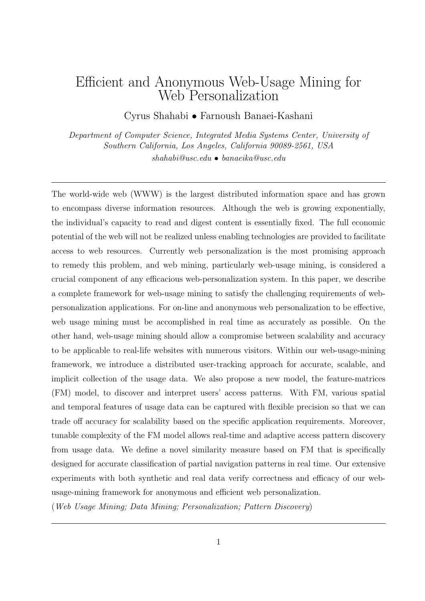# Efficient and Anonymous Web-Usage Mining for Web<sup>P</sup>ersonalization

Cyrus Shahabi • Farnoush Banaei-Kashani

Department of Computer Science, Integrated Media Systems Center, University of Southern California, Los Angeles, California 90089-2561, USA  $\label{eq:shahab} shahabi@usc.edu \; \bullet \; banaeika@usc.edu$ 

The world-wide web (WWW) is the largest distributed information space and has grown to encompass diverse information resources. Although the web is growing exponentially, the individual's capacity to read and digest content is essentially fixed. The full economic potential of the web will not be realized unless enabling technologies are provided to facilitate access to web resources. Currently web personalization is the most promising approach to remedy this problem, and web mining, particularly web-usage mining, is considered a crucial component of any efficacious web-personalization system. In this paper, we describe a complete framework for web-usage mining to satisfy the challenging requirements of webpersonalization applications. For on-line and anonymous web personalization to be effective, web usage mining must be accomplished in real time as accurately as possible. On the other hand, web-usage mining should allow a compromise between scalability and accuracy to be applicable to real-life websites with numerous visitors. Within our web-usage-mining framework, we introduce a distributed user-tracking approach for accurate, scalable, and implicit collection of the usage data. We also propose a new model, the feature-matrices (FM) model, to discover and interpret users' access patterns. With FM, various spatial and temporal features of usage data can be captured with flexible precision so that we can trade off accuracy for scalability based on the specific application requirements. Moreover, tunable complexity of the FM model allows real-time and adaptive access pattern discovery from usage data. We define a novel similarity measure based on FM that is specifically designed for accurate classification of partial navigation patterns in real time. Our extensive experiments with both synthetic and real data verify correctness and efficacy of our webusage-mining framework for anonymous and efficient web personalization.

(Web Usage Mining; Data Mining; Personalization; Pattern Discovery)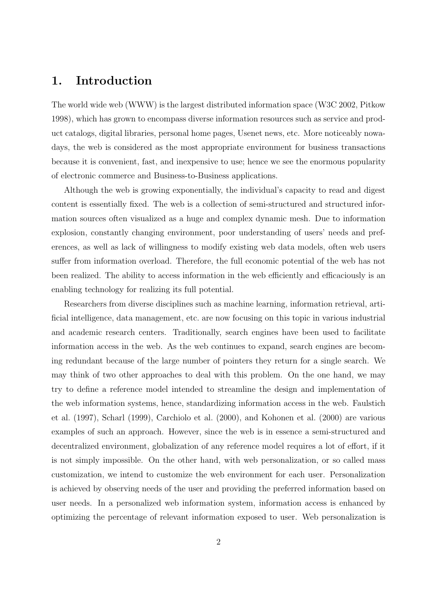## 1. Introduction

The world wide web (WWW) is the largest distributed information space (W3C 2002, Pitkow 1998), which has grown to encompass diverse information resources such as service and product catalogs, digital libraries, personal home pages, Usenet news, etc. More noticeably nowadays, the web is considered as the most appropriate environment for business transactions because it is convenient, fast, and inexpensive to use; hence we see the enormous popularity of electronic commerce and Business-to-Business applications.

Although the web is growing exponentially, the individual's capacity to read and digest content is essentially fixed. The web is a collection of semi-structured and structured information sources often visualized as a huge and complex dynamic mesh. Due to information explosion, constantly changing environment, poor understanding of users' needs and preferences, as well as lack of willingness to modify existing web data models, often web users suffer from information overload. Therefore, the full economic potential of the web has not been realized. The ability to access information in the web efficiently and efficaciously is an enabling technology for realizing its full potential.

Researchers from diverse disciplines such as machine learning, information retrieval, artificial intelligence, data management, etc. are now focusing on this topic in various industrial and academic research centers. Traditionally, search engines have been used to facilitate information access in the web. As the web continues to expand, search engines are becoming redundant because of the large number of pointers they return for a single search. We may think of two other approaches to deal with this problem. On the one hand, we may try to define a reference model intended to streamline the design and implementation of the web information systems, hence, standardizing information access in the web. Faulstich et al. (1997), Scharl (1999), Carchiolo et al. (2000), and Kohonen et al. (2000) are various examples of such an approach. However, since the web is in essence a semi-structured and decentralized environment, globalization of any reference model requires a lot of effort, if it is not simply impossible. On the other hand, with web personalization, or so called mass customization, we intend to customize the web environment for each user. Personalization is achieved by observing needs of the user and providing the preferred information based on user needs. In a personalized web information system, information access is enhanced by optimizing the percentage of relevant information exposed to user. Web personalization is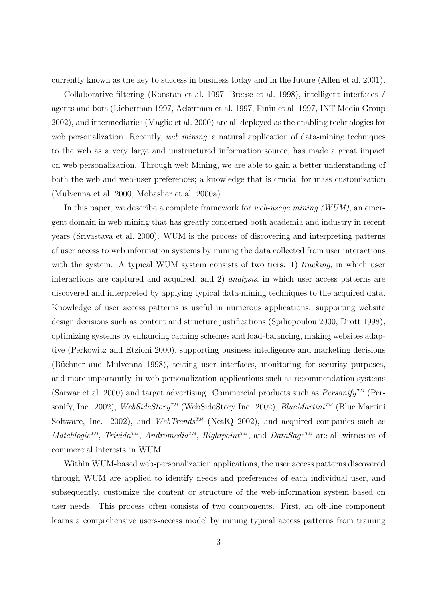currently known as the key to success in business today and in the future (Allen et al. 2001).

Collaborative filtering (Konstan et al. 1997, Breese et al. 1998), intelligent interfaces / agents and bots (Lieberman 1997, Ackerman et al. 1997, Finin et al. 1997, INT Media Group 2002), and intermediaries (Maglio et al. 2000) are all deployed as the enabling technologies for web personalization. Recently, web mining, a natural application of data-mining techniques to the web as a very large and unstructured information source, has made a great impact on web personalization. Through web Mining, we are able to gain a better understanding of both the web and web-user preferences; a knowledge that is crucial for mass customization (Mulvenna et al. 2000, Mobasher et al. 2000a).

In this paper, we describe a complete framework for *web-usage mining (WUM)*, an emergent domain in web mining that has greatly concerned both academia and industry in recent years (Srivastava et al. 2000). WUM is the process of discovering and interpreting patterns of user access to web information systems by mining the data collected from user interactions with the system. A typical WUM system consists of two tiers: 1) tracking, in which user interactions are captured and acquired, and 2) analysis, in which user access patterns are discovered and interpreted by applying typical data-mining techniques to the acquired data. Knowledge of user access patterns is useful in numerous applications: supporting website design decisions such as content and structure justifications (Spiliopoulou 2000, Drott 1998), optimizing systems by enhancing caching schemes and load-balancing, making websites adaptive (Perkowitz and Etzioni 2000), supporting business intelligence and marketing decisions (Büchner and Mulvenna 1998), testing user interfaces, monitoring for security purposes, and more importantly, in web personalization applications such as recommendation systems (Sarwar et al. 2000) and target advertising. Commercial products such as  $Personify^{TM}$  (Personify, Inc. 2002), WebSideStory<sup>TM</sup> (WebSideStory Inc. 2002), BlueMartini<sup>TM</sup> (Blue Martini Software, Inc. 2002), and  $WebTrends^{TM}$  (NetIQ 2002), and acquired companies such as Matchlogic<sup>TM</sup>, Trivida<sup>TM</sup>, Andromedia<sup>TM</sup>, Rightpoint<sup>TM</sup>, and DataSage<sup>TM</sup> are all witnesses of commercial interests in WUM.

Within WUM-based web-personalization applications, the user access patterns discovered through WUM are applied to identify needs and preferences of each individual user, and subsequently, customize the content or structure of the web-information system based on user needs. This process often consists of two components. First, an off-line component learns a comprehensive users-access model by mining typical access patterns from training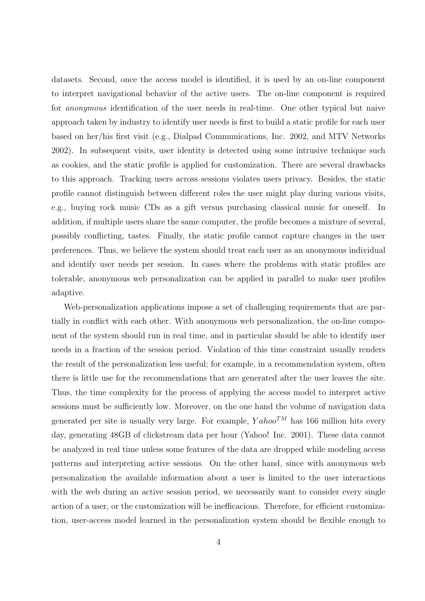datasets. Second, once the access model is identified, it is used by an on-line component to interpret navigational behavior of the active users. The on-line component is required for anonymous identification of the user needs in real-time. One other typical but naive approach taken by industry to identify user needs is first to build a static profile for each user based on her/his first visit (e.g., Dialpad Communications, Inc. 2002, and MTV Networks 2002). In subsequent visits, user identity is detected using some intrusive technique such as cookies, and the static profile is applied for customization. There are several drawbacks to this approach. Tracking users across sessions violates users privacy. Besides, the static profile cannot distinguish between different roles the user might play during various visits, e.g., buying rock music CDs as a gift versus purchasing classical music for oneself. In addition, if multiple users share the same computer, the profile becomes a mixture of several, possibly conflicting, tastes. Finally, the static profile cannot capture changes in the user preferences. Thus, we believe the system should treat each user as an anonymous individual and identify user needs per session. In cases where the problems with static profiles are tolerable, anonymous web personalization can be applied in parallel to make user profiles adaptive.

Web-personalization applications impose a set of challenging requirements that are partially in conflict with each other. With anonymous web personalization, the on-line component of the system should run in real time, and in particular should be able to identify user needs in a fraction of the session period. Violation of this time constraint usually renders the result of the personalization less useful; for example, in a recommendation system, often there is little use for the recommendations that are generated after the user leaves the site. Thus, the time complexity for the process of applying the access model to interpret active sessions must be sufficiently low. Moreover, on the one hand the volume of navigation data generated per site is usually very large. For example,  $Yahoo^{TM}$  has 166 million hits every day, generating 48GB of clickstream data per hour (Yahoo! Inc. 2001). These data cannot be analyzed in real time unless some features of the data are dropped while modeling access patterns and interpreting active sessions. On the other hand, since with anonymous web personalization the available information about a user is limited to the user interactions with the web during an active session period, we necessarily want to consider every single action of a user, or the customization will be inefficacious. Therefore, for efficient customization, user-access model learned in the personalization system should be flexible enough to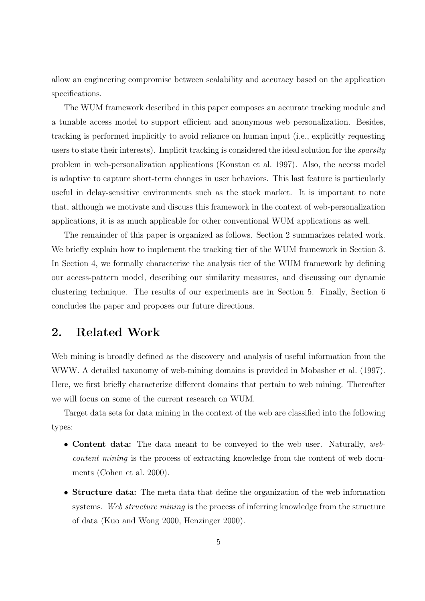allow an engineering compromise between scalability and accuracy based on the application specifications.

The WUM framework described in this paper composes an accurate tracking module and a tunable access model to support efficient and anonymous web personalization. Besides, tracking is performed implicitly to avoid reliance on human input (i.e., explicitly requesting users to state their interests). Implicit tracking is considered the ideal solution for the sparsity problem in web-personalization applications (Konstan et al. 1997). Also, the access model is adaptive to capture short-term changes in user behaviors. This last feature is particularly useful in delay-sensitive environments such as the stock market. It is important to note that, although we motivate and discuss this framework in the context of web-personalization applications, it is as much applicable for other conventional WUM applications as well.

The remainder of this paper is organized as follows. Section 2 summarizes related work. We briefly explain how to implement the tracking tier of the WUM framework in Section 3. In Section 4, we formally characterize the analysis tier of the WUM framework by defining our access-pattern model, describing our similarity measures, and discussing our dynamic clustering technique. The results of our experiments are in Section 5. Finally, Section 6 concludes the paper and proposes our future directions.

# 2. Related Work

Web mining is broadly defined as the discovery and analysis of useful information from the WWW. A detailed taxonomy of web-mining domains is provided in Mobasher et al. (1997). Here, we first briefly characterize different domains that pertain to web mining. Thereafter we will focus on some of the current research on WUM.

Target data sets for data mining in the context of the web are classified into the following types:

- Content data: The data meant to be conveyed to the web user. Naturally, webcontent mining is the process of extracting knowledge from the content of web documents (Cohen et al. 2000).
- Structure data: The meta data that define the organization of the web information systems. Web *structure mining* is the process of inferring knowledge from the structure of data (Kuo and Wong 2000, Henzinger 2000).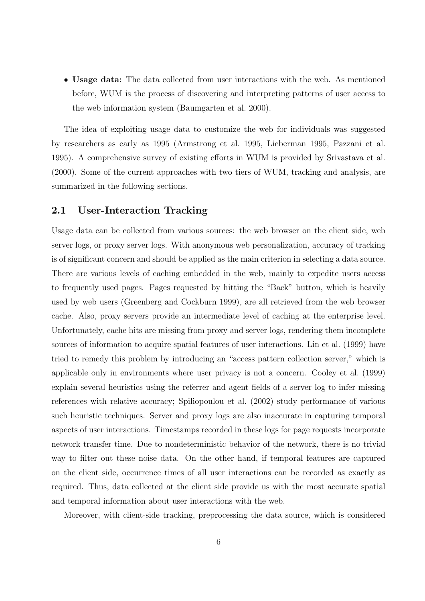• Usage data: The data collected from user interactions with the web. As mentioned before, WUM is the process of discovering and interpreting patterns of user access to the web information system (Baumgarten et al. 2000).

The idea of exploiting usage data to customize the web for individuals was suggested by researchers as early as 1995 (Armstrong et al. 1995, Lieberman 1995, Pazzani et al. 1995). A comprehensive survey of existing efforts in WUM is provided by Srivastava et al. (2000). Some of the current approaches with two tiers of WUM, tracking and analysis, are summarized in the following sections.

### 2.1 User-Interaction Tracking

Usage data can be collected from various sources: the web browser on the client side, web server logs, or proxy server logs. With anonymous web personalization, accuracy of tracking is of significant concern and should be applied as the main criterion in selecting a data source. There are various levels of caching embedded in the web, mainly to expedite users access to frequently used pages. Pages requested by hitting the "Back" button, which is heavily used by web users (Greenberg and Cockburn 1999), are all retrieved from the web browser cache. Also, proxy servers provide an intermediate level of caching at the enterprise level. Unfortunately, cache hits are missing from proxy and server logs, rendering them incomplete sources of information to acquire spatial features of user interactions. Lin et al. (1999) have tried to remedy this problem by introducing an "access pattern collection server," which is applicable only in environments where user privacy is not a concern. Cooley et al. (1999) explain several heuristics using the referrer and agent fields of a server log to infer missing references with relative accuracy; Spiliopoulou et al. (2002) study performance of various such heuristic techniques. Server and proxy logs are also inaccurate in capturing temporal aspects of user interactions. Timestamps recorded in these logs for page requests incorporate network transfer time. Due to nondeterministic behavior of the network, there is no trivial way to filter out these noise data. On the other hand, if temporal features are captured on the client side, occurrence times of all user interactions can be recorded as exactly as required. Thus, data collected at the client side provide us with the most accurate spatial and temporal information about user interactions with the web.

Moreover, with client-side tracking, preprocessing the data source, which is considered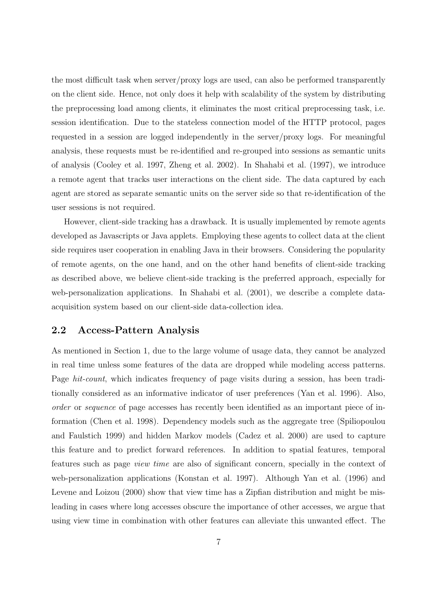the most difficult task when server/proxy logs are used, can also be performed transparently on the client side. Hence, not only does it help with scalability of the system by distributing the preprocessing load among clients, it eliminates the most critical preprocessing task, i.e. session identification. Due to the stateless connection model of the HTTP protocol, pages requested in a session are logged independently in the server/proxy logs. For meaningful analysis, these requests must be re-identified and re-grouped into sessions as semantic units of analysis (Cooley et al. 1997, Zheng et al. 2002). In Shahabi et al. (1997), we introduce a remote agent that tracks user interactions on the client side. The data captured by each agent are stored as separate semantic units on the server side so that re-identification of the user sessions is not required.

However, client-side tracking has a drawback. It is usually implemented by remote agents developed as Javascripts or Java applets. Employing these agents to collect data at the client side requires user cooperation in enabling Java in their browsers. Considering the popularity of remote agents, on the one hand, and on the other hand benefits of client-side tracking as described above, we believe client-side tracking is the preferred approach, especially for web-personalization applications. In Shahabi et al. (2001), we describe a complete dataacquisition system based on our client-side data-collection idea.

## 2.2 Access-Pattern Analysis

As mentioned in Section 1, due to the large volume of usage data, they cannot be analyzed in real time unless some features of the data are dropped while modeling access patterns. Page hit-count, which indicates frequency of page visits during a session, has been traditionally considered as an informative indicator of user preferences (Yan et al. 1996). Also, order or sequence of page accesses has recently been identified as an important piece of information (Chen et al. 1998). Dependency models such as the aggregate tree (Spiliopoulou and Faulstich 1999) and hidden Markov models (Cadez et al. 2000) are used to capture this feature and to predict forward references. In addition to spatial features, temporal features such as page view time are also of significant concern, specially in the context of web-personalization applications (Konstan et al. 1997). Although Yan et al. (1996) and Levene and Loizou (2000) show that view time has a Zipfian distribution and might be misleading in cases where long accesses obscure the importance of other accesses, we argue that using view time in combination with other features can alleviate this unwanted effect. The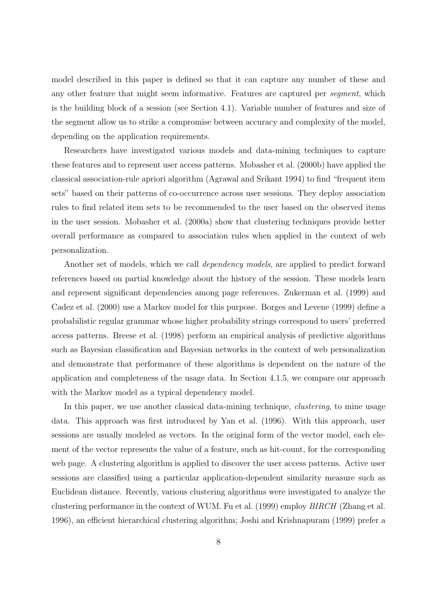model described in this paper is defined so that it can capture any number of these and any other feature that might seem informative. Features are captured per *segment*, which is the building block of a session (see Section 4.1). Variable number of features and size of the segment allow us to strike a compromise between accuracy and complexity of the model, depending on the application requirements.

Researchers have investigated various models and data-mining techniques to capture these features and to represent user access patterns. Mobasher et al. (2000b) have applied the classical association-rule apriori algorithm (Agrawal and Srikant 1994) to find "frequent item sets" based on their patterns of co-occurrence across user sessions. They deploy association rules to find related item sets to be recommended to the user based on the observed items in the user session. Mobasher et al. (2000a) show that clustering techniques provide better overall performance as compared to association rules when applied in the context of web personalization.

Another set of models, which we call dependency models, are applied to predict forward references based on partial knowledge about the history of the session. These models learn and represent significant dependencies among page references. Zukerman et al. (1999) and Cadez et al. (2000) use a Markov model for this purpose. Borges and Levene (1999) define a probabilistic regular grammar whose higher probability strings correspond to users' preferred access patterns. Breese et al. (1998) perform an empirical analysis of predictive algorithms such as Bayesian classification and Bayesian networks in the context of web personalization and demonstrate that performance of these algorithms is dependent on the nature of the application and completeness of the usage data. In Section 4.1.5, we compare our approach with the Markov model as a typical dependency model.

In this paper, we use another classical data-mining technique, *clustering*, to mine usage data. This approach was first introduced by Yan et al. (1996). With this approach, user sessions are usually modeled as vectors. In the original form of the vector model, each element of the vector represents the value of a feature, such as hit-count, for the corresponding web page. A clustering algorithm is applied to discover the user access patterns. Active user sessions are classified using a particular application-dependent similarity measure such as Euclidean distance. Recently, various clustering algorithms were investigated to analyze the clustering performance in the context of WUM. Fu et al. (1999) employ BIRCH (Zhang et al. 1996), an efficient hierarchical clustering algorithm; Joshi and Krishnapuram (1999) prefer a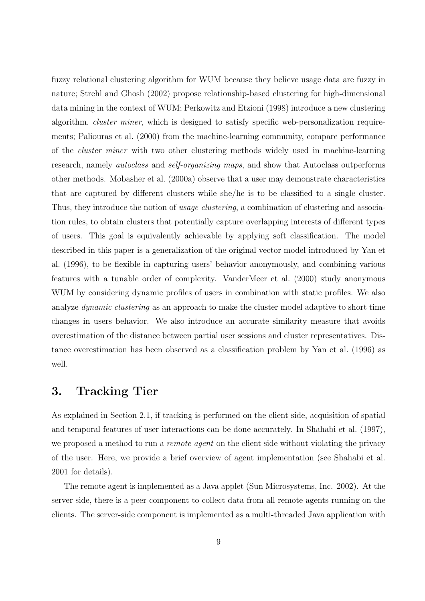fuzzy relational clustering algorithm for WUM because they believe usage data are fuzzy in nature; Strehl and Ghosh (2002) propose relationship-based clustering for high-dimensional data mining in the context of WUM; Perkowitz and Etzioni (1998) introduce a new clustering algorithm, *cluster miner*, which is designed to satisfy specific web-personalization requirements; Paliouras et al. (2000) from the machine-learning community, compare performance of the cluster miner with two other clustering methods widely used in machine-learning research, namely *autoclass* and *self-organizing maps*, and show that Autoclass outperforms other methods. Mobasher et al. (2000a) observe that a user may demonstrate characteristics that are captured by different clusters while she/he is to be classified to a single cluster. Thus, they introduce the notion of *usage clustering*, a combination of clustering and association rules, to obtain clusters that potentially capture overlapping interests of different types of users. This goal is equivalently achievable by applying soft classification. The model described in this paper is a generalization of the original vector model introduced by Yan et al. (1996), to be flexible in capturing users' behavior anonymously, and combining various features with a tunable order of complexity. VanderMeer et al. (2000) study anonymous WUM by considering dynamic profiles of users in combination with static profiles. We also analyze dynamic clustering as an approach to make the cluster model adaptive to short time changes in users behavior. We also introduce an accurate similarity measure that avoids overestimation of the distance between partial user sessions and cluster representatives. Distance overestimation has been observed as a classification problem by Yan et al. (1996) as well.

# 3. Tracking Tier

As explained in Section 2.1, if tracking is performed on the client side, acquisition of spatial and temporal features of user interactions can be done accurately. In Shahabi et al. (1997), we proposed a method to run a *remote agent* on the client side without violating the privacy of the user. Here, we provide a brief overview of agent implementation (see Shahabi et al. 2001 for details).

The remote agent is implemented as a Java applet (Sun Microsystems, Inc. 2002). At the server side, there is a peer component to collect data from all remote agents running on the clients. The server-side component is implemented as a multi-threaded Java application with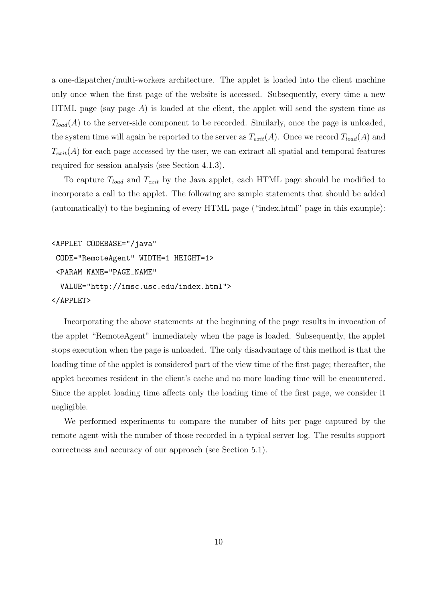a one-dispatcher/multi-workers architecture. The applet is loaded into the client machine only once when the first page of the website is accessed. Subsequently, every time a new HTML page (say page  $A$ ) is loaded at the client, the applet will send the system time as  $T_{load}(A)$  to the server-side component to be recorded. Similarly, once the page is unloaded, the system time will again be reported to the server as  $T_{exit}(A)$ . Once we record  $T_{load}(A)$  and  $T_{exit}(A)$  for each page accessed by the user, we can extract all spatial and temporal features required for session analysis (see Section 4.1.3).

To capture  $T_{load}$  and  $T_{exit}$  by the Java applet, each HTML page should be modified to incorporate a call to the applet. The following are sample statements that should be added (automatically) to the beginning of every HTML page ("index.html" page in this example):

```
<APPLET CODEBASE="/java"
CODE="RemoteAgent" WIDTH=1 HEIGHT=1>
 <PARAM NAME="PAGE_NAME"
  VALUE="http://imsc.usc.edu/index.html">
</APPLET>
```
Incorporating the above statements at the beginning of the page results in invocation of the applet "RemoteAgent" immediately when the page is loaded. Subsequently, the applet stops execution when the page is unloaded. The only disadvantage of this method is that the loading time of the applet is considered part of the view time of the first page; thereafter, the applet becomes resident in the client's cache and no more loading time will be encountered. Since the applet loading time affects only the loading time of the first page, we consider it negligible.

We performed experiments to compare the number of hits per page captured by the remote agent with the number of those recorded in a typical server log. The results support correctness and accuracy of our approach (see Section 5.1).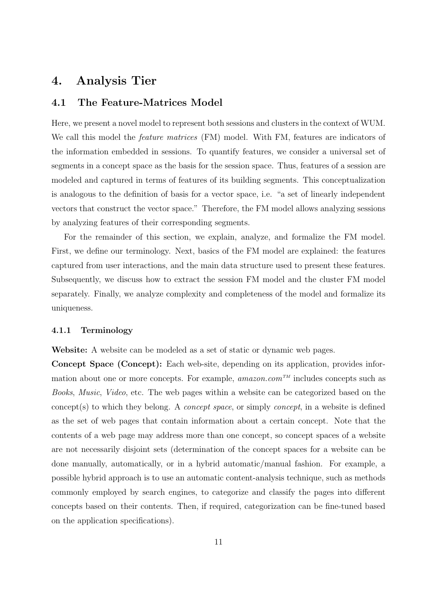## 4. Analysis Tier

## 4.1 The Feature-Matrices Model

Here, we present a novel model to represent both sessions and clusters in the context of WUM. We call this model the *feature matrices* (FM) model. With FM, features are indicators of the information embedded in sessions. To quantify features, we consider a universal set of segments in a concept space as the basis for the session space. Thus, features of a session are modeled and captured in terms of features of its building segments. This conceptualization is analogous to the definition of basis for a vector space, i.e. "a set of linearly independent vectors that construct the vector space." Therefore, the FM model allows analyzing sessions by analyzing features of their corresponding segments.

For the remainder of this section, we explain, analyze, and formalize the FM model. First, we define our terminology. Next, basics of the FM model are explained: the features captured from user interactions, and the main data structure used to present these features. Subsequently, we discuss how to extract the session FM model and the cluster FM model separately. Finally, we analyze complexity and completeness of the model and formalize its uniqueness.

#### 4.1.1 Terminology

Website: A website can be modeled as a set of static or dynamic web pages.

Concept Space (Concept): Each web-site, depending on its application, provides information about one or more concepts. For example,  $a$ mazon.com<sup>TM</sup> includes concepts such as Books, Music, Video, etc. The web pages within a website can be categorized based on the concept(s) to which they belong. A concept space, or simply concept, in a website is defined as the set of web pages that contain information about a certain concept. Note that the contents of a web page may address more than one concept, so concept spaces of a website are not necessarily disjoint sets (determination of the concept spaces for a website can be done manually, automatically, or in a hybrid automatic/manual fashion. For example, a possible hybrid approach is to use an automatic content-analysis technique, such as methods commonly employed by search engines, to categorize and classify the pages into different concepts based on their contents. Then, if required, categorization can be fine-tuned based on the application specifications).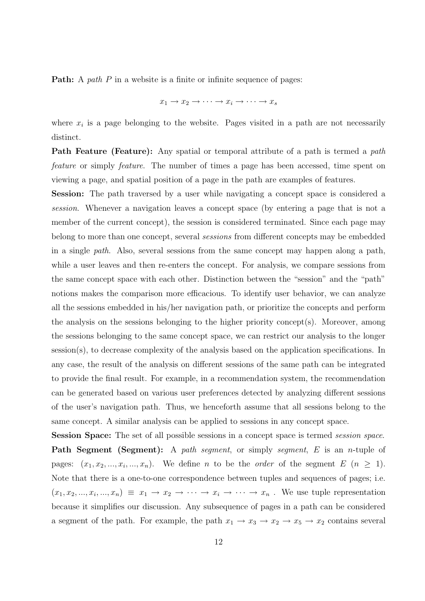**Path:** A path P in a website is a finite or infinite sequence of pages:

$$
x_1 \to x_2 \to \cdots \to x_i \to \cdots \to x_s
$$

where  $x_i$  is a page belonging to the website. Pages visited in a path are not necessarily distinct.

**Path Feature (Feature):** Any spatial or temporal attribute of a path is termed a *path* feature or simply feature. The number of times a page has been accessed, time spent on viewing a page, and spatial position of a page in the path are examples of features.

Session: The path traversed by a user while navigating a concept space is considered a session. Whenever a navigation leaves a concept space (by entering a page that is not a member of the current concept), the session is considered terminated. Since each page may belong to more than one concept, several sessions from different concepts may be embedded in a single path. Also, several sessions from the same concept may happen along a path, while a user leaves and then re-enters the concept. For analysis, we compare sessions from the same concept space with each other. Distinction between the "session" and the "path" notions makes the comparison more efficacious. To identify user behavior, we can analyze all the sessions embedded in his/her navigation path, or prioritize the concepts and perform the analysis on the sessions belonging to the higher priority concept(s). Moreover, among the sessions belonging to the same concept space, we can restrict our analysis to the longer session(s), to decrease complexity of the analysis based on the application specifications. In any case, the result of the analysis on different sessions of the same path can be integrated to provide the final result. For example, in a recommendation system, the recommendation can be generated based on various user preferences detected by analyzing different sessions of the user's navigation path. Thus, we henceforth assume that all sessions belong to the same concept. A similar analysis can be applied to sessions in any concept space.

Session Space: The set of all possible sessions in a concept space is termed session space. Path Segment (Segment): A path seqment, or simply seqment, E is an n-tuple of pages:  $(x_1, x_2, ..., x_i, ..., x_n)$ . We define *n* to be the *order* of the segment  $E$   $(n \geq 1)$ . Note that there is a one-to-one correspondence between tuples and sequences of pages; i.e.  $(x_1, x_2, ..., x_i, ..., x_n) \equiv x_1 \to x_2 \to \cdots \to x_i \to \cdots \to x_n$ . We use tuple representation because it simplifies our discussion. Any subsequence of pages in a path can be considered a segment of the path. For example, the path  $x_1 \rightarrow x_3 \rightarrow x_2 \rightarrow x_5 \rightarrow x_2$  contains several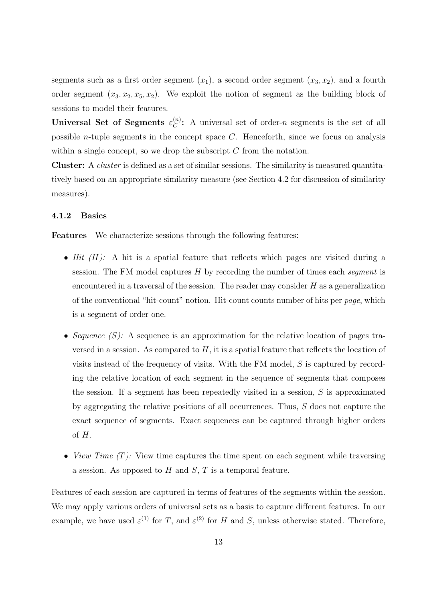segments such as a first order segment  $(x_1)$ , a second order segment  $(x_3, x_2)$ , and a fourth order segment  $(x_3, x_2, x_5, x_2)$ . We exploit the notion of segment as the building block of sessions to model their features.

Universal Set of Segments  $\varepsilon_C^{(n)}$ : A universal set of order-*n* segments is the set of all possible *n*-tuple segments in the concept space  $C$ . Henceforth, since we focus on analysis within a single concept, so we drop the subscript  $C$  from the notation.

Cluster: A cluster is defined as a set of similar sessions. The similarity is measured quantitatively based on an appropriate similarity measure (see Section 4.2 for discussion of similarity measures).

#### 4.1.2 Basics

Features We characterize sessions through the following features:

- Hit  $(H)$ : A hit is a spatial feature that reflects which pages are visited during a session. The FM model captures H by recording the number of times each *segment* is encountered in a traversal of the session. The reader may consider  $H$  as a generalization of the conventional "hit-count" notion. Hit-count counts number of hits per page, which is a segment of order one.
- Sequence  $(S)$ : A sequence is an approximation for the relative location of pages traversed in a session. As compared to  $H$ , it is a spatial feature that reflects the location of visits instead of the frequency of visits. With the FM model, S is captured by recording the relative location of each segment in the sequence of segments that composes the session. If a segment has been repeatedly visited in a session,  $S$  is approximated by aggregating the relative positions of all occurrences. Thus, S does not capture the exact sequence of segments. Exact sequences can be captured through higher orders of H.
- View Time  $(T)$ : View time captures the time spent on each segment while traversing a session. As opposed to  $H$  and  $S$ ,  $T$  is a temporal feature.

Features of each session are captured in terms of features of the segments within the session. We may apply various orders of universal sets as a basis to capture different features. In our example, we have used  $\varepsilon^{(1)}$  for T, and  $\varepsilon^{(2)}$  for H and S, unless otherwise stated. Therefore,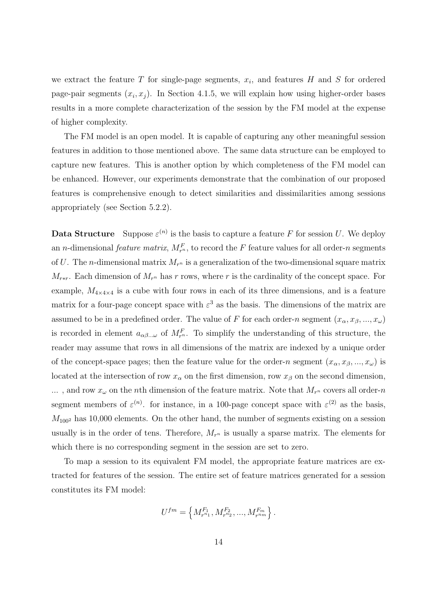we extract the feature T for single-page segments,  $x_i$ , and features H and S for ordered page-pair segments  $(x_i, x_j)$ . In Section 4.1.5, we will explain how using higher-order bases results in a more complete characterization of the session by the FM model at the expense of higher complexity.

The FM model is an open model. It is capable of capturing any other meaningful session features in addition to those mentioned above. The same data structure can be employed to capture new features. This is another option by which completeness of the FM model can be enhanced. However, our experiments demonstrate that the combination of our proposed features is comprehensive enough to detect similarities and dissimilarities among sessions appropriately (see Section 5.2.2).

**Data Structure** Suppose  $\varepsilon^{(n)}$  is the basis to capture a feature F for session U. We deploy an *n*-dimensional *feature matrix*,  $M_{r^n}^F$ , to record the F feature values for all order-*n* segments of U. The *n*-dimensional matrix  $M_{r^n}$  is a generalization of the two-dimensional square matrix  $M_{r*r}$ . Each dimension of  $M_{r^n}$  has r rows, where r is the cardinality of the concept space. For example,  $M_{4\times4\times4}$  is a cube with four rows in each of its three dimensions, and is a feature matrix for a four-page concept space with  $\varepsilon^3$  as the basis. The dimensions of the matrix are assumed to be in a predefined order. The value of F for each order-n segment  $(x_{\alpha}, x_{\beta}, ..., x_{\omega})$ is recorded in element  $a_{\alpha\beta...\omega}$  of  $M_{r^n}^F$ . To simplify the understanding of this structure, the reader may assume that rows in all dimensions of the matrix are indexed by a unique order of the concept-space pages; then the feature value for the order-n segment  $(x_{\alpha}, x_{\beta}, ..., x_{\omega})$  is located at the intersection of row  $x_{\alpha}$  on the first dimension, row  $x_{\beta}$  on the second dimension,  $\ldots$ , and row  $x_{\omega}$  on the nth dimension of the feature matrix. Note that  $M_{r^n}$  covers all order-n segment members of  $\varepsilon^{(n)}$ . for instance, in a 100-page concept space with  $\varepsilon^{(2)}$  as the basis,  $M_{100^2}$  has 10,000 elements. On the other hand, the number of segments existing on a session usually is in the order of tens. Therefore,  $M_{r^n}$  is usually a sparse matrix. The elements for which there is no corresponding segment in the session are set to zero.

To map a session to its equivalent FM model, the appropriate feature matrices are extracted for features of the session. The entire set of feature matrices generated for a session constitutes its FM model:

$$
U^{fm}=\left\{M_{r^{n_1}}^{F_1},M_{r^{n_2}}^{F_2},...,M_{r^{n_m}}^{F_m}\right\}.
$$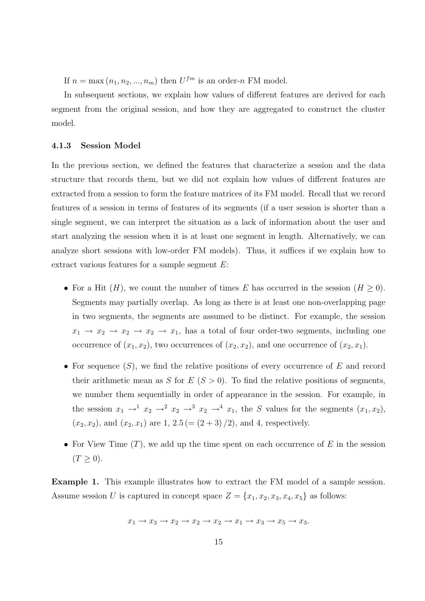If  $n = \max(n_1, n_2, ..., n_m)$  then  $U^{fm}$  is an order-n FM model.

In subsequent sections, we explain how values of different features are derived for each segment from the original session, and how they are aggregated to construct the cluster model.

#### 4.1.3 Session Model

In the previous section, we defined the features that characterize a session and the data structure that records them, but we did not explain how values of different features are extracted from a session to form the feature matrices of its FM model. Recall that we record features of a session in terms of features of its segments (if a user session is shorter than a single segment, we can interpret the situation as a lack of information about the user and start analyzing the session when it is at least one segment in length. Alternatively, we can analyze short sessions with low-order FM models). Thus, it suffices if we explain how to extract various features for a sample segment E:

- For a Hit  $(H)$ , we count the number of times E has occurred in the session  $(H \geq 0)$ . Segments may partially overlap. As long as there is at least one non-overlapping page in two segments, the segments are assumed to be distinct. For example, the session  $x_1 \rightarrow x_2 \rightarrow x_2 \rightarrow x_1$ , has a total of four order-two segments, including one occurrence of  $(x_1, x_2)$ , two occurrences of  $(x_2, x_2)$ , and one occurrence of  $(x_2, x_1)$ .
- For sequence  $(S)$ , we find the relative positions of every occurrence of E and record their arithmetic mean as S for  $E(S>0)$ . To find the relative positions of segments, we number them sequentially in order of appearance in the session. For example, in the session  $x_1 \rightarrow^1 x_2 \rightarrow^2 x_2 \rightarrow^3 x_2 \rightarrow^4 x_1$ , the S values for the segments  $(x_1, x_2)$ ,  $(x_2, x_2)$ , and  $(x_2, x_1)$  are 1, 2.5 (=  $(2+3)/2$ ), and 4, respectively.
- For View Time  $(T)$ , we add up the time spent on each occurrence of E in the session  $(T \geq 0)$ .

Example 1. This example illustrates how to extract the FM model of a sample session. Assume session U is captured in concept space  $Z = \{x_1, x_2, x_3, x_4, x_5\}$  as follows:

$$
x_1 \to x_3 \to x_2 \to x_2 \to x_2 \to x_1 \to x_3 \to x_5 \to x_3.
$$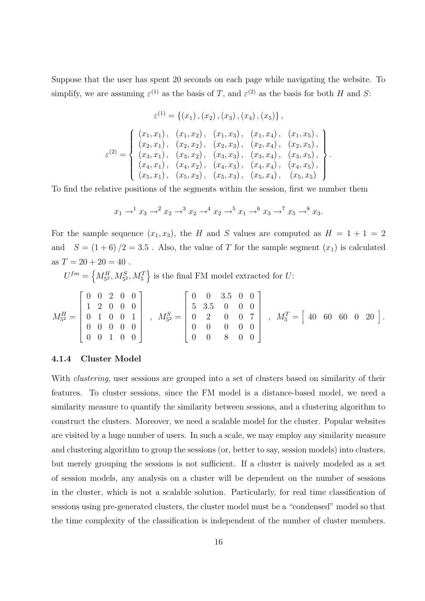Suppose that the user has spent 20 seconds on each page while navigating the website. To simplify, we are assuming  $\varepsilon^{(1)}$  as the basis of T, and  $\varepsilon^{(2)}$  as the basis for both H and S:

$$
\varepsilon^{(1)} = \{(x_1), (x_2), (x_3), (x_4), (x_5)\},
$$
\n
$$
\varepsilon^{(2)} = \left\{\n\begin{array}{l}\n(x_1, x_1), (x_1, x_2), (x_1, x_3), (x_1, x_4), (x_1, x_5), \\
(x_2, x_1), (x_2, x_2), (x_2, x_3), (x_2, x_4), (x_2, x_5), \\
(x_3, x_1), (x_3, x_2), (x_3, x_3), (x_3, x_4), (x_3, x_5), \\
(x_4, x_1), (x_4, x_2), (x_4, x_3), (x_4, x_4), (x_4, x_5), \\
(x_5, x_1), (x_5, x_2), (x_5, x_3), (x_5, x_4), (x_5, x_5)\n\end{array}\n\right\}
$$

.

To find the relative positions of the segments within the session, first we number them

$$
x_1 \rightarrow^1 x_3 \rightarrow^2 x_2 \rightarrow^3 x_2 \rightarrow^4 x_2 \rightarrow^5 x_1 \rightarrow^6 x_3 \rightarrow^7 x_5 \rightarrow^8 x_3.
$$

For the sample sequence  $(x_1, x_3)$ , the H and S values are computed as  $H = 1 + 1 = 2$ and  $S = (1+6)/2 = 3.5$ . Also, the value of T for the sample segment  $(x_1)$  is calculated as  $T = 20 + 20 = 40$ .

 $U^{fm} = \left\{ M_{5^2}^H, M_{5^2}^S, M_5^T \right\}$  is the final FM model extracted for U:

$$
M_{5^2}^H = \begin{bmatrix} 0 & 0 & 2 & 0 & 0 \\ 1 & 2 & 0 & 0 & 0 \\ 0 & 1 & 0 & 0 & 1 \\ 0 & 0 & 0 & 0 & 0 \\ 0 & 0 & 1 & 0 & 0 \end{bmatrix} , M_{5^2}^S = \begin{bmatrix} 0 & 0 & 3.5 & 0 & 0 \\ 5 & 3.5 & 0 & 0 & 0 \\ 0 & 2 & 0 & 0 & 7 \\ 0 & 0 & 0 & 0 & 0 \\ 0 & 0 & 8 & 0 & 0 \end{bmatrix} , M_5^T = \begin{bmatrix} 40 & 60 & 60 & 0 & 20 \\ 0 & 0 & 0 & 0 & 20 \\ 0 & 0 & 0 & 0 & 0 \\ 0 & 0 & 0 & 0 & 0 \end{bmatrix}.
$$

#### 4.1.4 Cluster Model

With *clustering*, user sessions are grouped into a set of clusters based on similarity of their features. To cluster sessions, since the FM model is a distance-based model, we need a similarity measure to quantify the similarity between sessions, and a clustering algorithm to construct the clusters. Moreover, we need a scalable model for the cluster. Popular websites are visited by a huge number of users. In such a scale, we may employ any similarity measure and clustering algorithm to group the sessions (or, better to say, session models) into clusters, but merely grouping the sessions is not sufficient. If a cluster is naively modeled as a set of session models, any analysis on a cluster will be dependent on the number of sessions in the cluster, which is not a scalable solution. Particularly, for real time classification of sessions using pre-generated clusters, the cluster model must be a "condensed" model so that the time complexity of the classification is independent of the number of cluster members.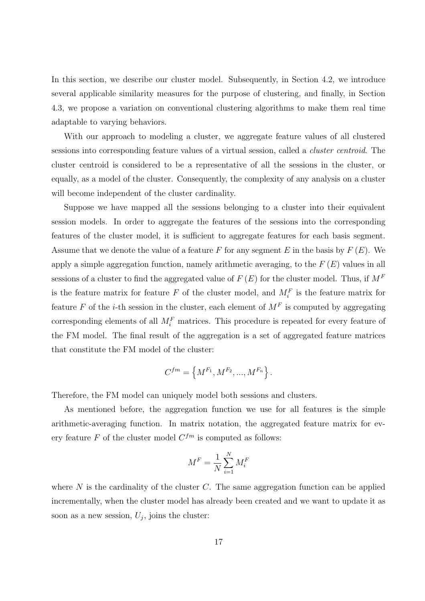In this section, we describe our cluster model. Subsequently, in Section 4.2, we introduce several applicable similarity measures for the purpose of clustering, and finally, in Section 4.3, we propose a variation on conventional clustering algorithms to make them real time adaptable to varying behaviors.

With our approach to modeling a cluster, we aggregate feature values of all clustered sessions into corresponding feature values of a virtual session, called a cluster centroid. The cluster centroid is considered to be a representative of all the sessions in the cluster, or equally, as a model of the cluster. Consequently, the complexity of any analysis on a cluster will become independent of the cluster cardinality.

Suppose we have mapped all the sessions belonging to a cluster into their equivalent session models. In order to aggregate the features of the sessions into the corresponding features of the cluster model, it is sufficient to aggregate features for each basis segment. Assume that we denote the value of a feature F for any segment E in the basis by  $F(E)$ . We apply a simple aggregation function, namely arithmetic averaging, to the  $F(E)$  values in all sessions of a cluster to find the aggregated value of  $F(E)$  for the cluster model. Thus, if  $M<sup>F</sup>$ is the feature matrix for feature  $F$  of the cluster model, and  $M_i^F$  is the feature matrix for feature F of the *i*-th session in the cluster, each element of  $M^F$  is computed by aggregating corresponding elements of all  $M_i^F$  matrices. This procedure is repeated for every feature of the FM model. The final result of the aggregation is a set of aggregated feature matrices that constitute the FM model of the cluster:

$$
C^{fm} = \left\{ M^{F_1}, M^{F_2}, ..., M^{F_n} \right\}.
$$

Therefore, the FM model can uniquely model both sessions and clusters.

As mentioned before, the aggregation function we use for all features is the simple arithmetic-averaging function. In matrix notation, the aggregated feature matrix for every feature  $F$  of the cluster model  $C^{fm}$  is computed as follows:

$$
M^F = \frac{1}{N} \sum_{i=1}^N M_i^F
$$

where  $N$  is the cardinality of the cluster  $C$ . The same aggregation function can be applied incrementally, when the cluster model has already been created and we want to update it as soon as a new session,  $U_j$ , joins the cluster: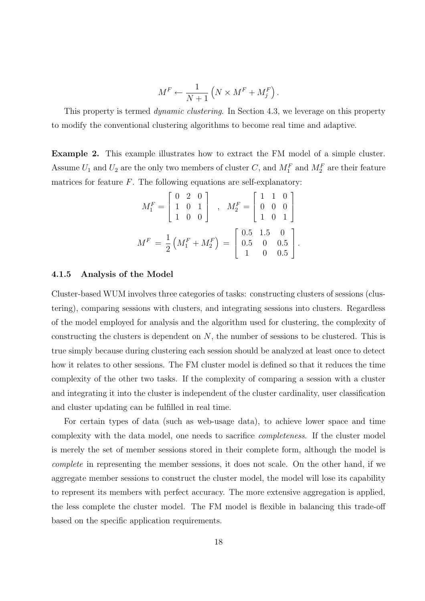$$
M^F \leftarrow \frac{1}{N+1} \left( N \times M^F + M_j^F \right).
$$

This property is termed *dynamic clustering*. In Section 4.3, we leverage on this property to modify the conventional clustering algorithms to become real time and adaptive.

Example 2. This example illustrates how to extract the FM model of a simple cluster. Assume  $U_1$  and  $U_2$  are the only two members of cluster C, and  $M_1^F$  and  $M_2^F$  are their feature matrices for feature  $F$ . The following equations are self-explanatory:

| $M_1^F = \begin{bmatrix} 0 & 2 & 0 \\ 1 & 0 & 1 \\ 1 & 0 & 0 \end{bmatrix}$ , $M_2^F = \begin{bmatrix} 1 & 1 & 0 \\ 0 & 0 & 0 \\ 1 & 0 & 1 \end{bmatrix}$ |  |  |  |  |  |
|-----------------------------------------------------------------------------------------------------------------------------------------------------------|--|--|--|--|--|
| $M^F = \frac{1}{2} \left( M_1^F + M_2^F \right) = \begin{bmatrix} 0.5 & 1.5 & 0 \\ 0.5 & 0 & 0.5 \\ 1 & 0 & 0.5 \end{bmatrix}.$                           |  |  |  |  |  |

#### 4.1.5 Analysis of the Model

Cluster-based WUM involves three categories of tasks: constructing clusters of sessions (clustering), comparing sessions with clusters, and integrating sessions into clusters. Regardless of the model employed for analysis and the algorithm used for clustering, the complexity of constructing the clusters is dependent on  $N$ , the number of sessions to be clustered. This is true simply because during clustering each session should be analyzed at least once to detect how it relates to other sessions. The FM cluster model is defined so that it reduces the time complexity of the other two tasks. If the complexity of comparing a session with a cluster and integrating it into the cluster is independent of the cluster cardinality, user classification and cluster updating can be fulfilled in real time.

For certain types of data (such as web-usage data), to achieve lower space and time complexity with the data model, one needs to sacrifice completeness. If the cluster model is merely the set of member sessions stored in their complete form, although the model is complete in representing the member sessions, it does not scale. On the other hand, if we aggregate member sessions to construct the cluster model, the model will lose its capability to represent its members with perfect accuracy. The more extensive aggregation is applied, the less complete the cluster model. The FM model is flexible in balancing this trade-off based on the specific application requirements.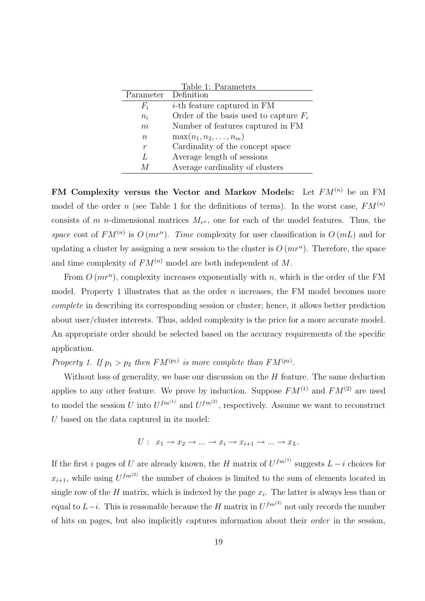| Table 1: Parameters |                                          |  |  |  |  |
|---------------------|------------------------------------------|--|--|--|--|
| Parameter           | Definition                               |  |  |  |  |
| $F_i$               | <i>i</i> -th feature captured in $FM$    |  |  |  |  |
| $n_i$               | Order of the basis used to capture $F_i$ |  |  |  |  |
| m                   | Number of features captured in FM        |  |  |  |  |
| $\, n$              | $\max(n_1, n_2, \ldots, n_m)$            |  |  |  |  |
| $\,r$               | Cardinality of the concept space         |  |  |  |  |
| L                   | Average length of sessions               |  |  |  |  |
|                     | Average cardinality of clusters          |  |  |  |  |

FM Complexity versus the Vector and Markov Models: Let  $FM^{(n)}$  be an FM model of the order n (see Table 1 for the definitions of terms). In the worst case,  $FM^{(n)}$ consists of m n-dimensional matrices  $M_{r^n}$ , one for each of the model features. Thus, the space cost of  $FM^{(n)}$  is  $O(mr^n)$ . Time complexity for user classification is  $O(mL)$  and for updating a cluster by assigning a new session to the cluster is  $O(mr^n)$ . Therefore, the space and time complexity of  $FM^{(n)}$  model are both independent of M.

From  $O(mr^n)$ , complexity increases exponentially with n, which is the order of the FM model. Property 1 illustrates that as the order  $n$  increases, the FM model becomes more complete in describing its corresponding session or cluster; hence, it allows better prediction about user/cluster interests. Thus, added complexity is the price for a more accurate model. An appropriate order should be selected based on the accuracy requirements of the specific application.

Property 1. If  $p_1 > p_2$  then  $FM^{(p_1)}$  is more complete than  $FM^{(p_2)}$ .

Without loss of generality, we base our discussion on the  $H$  feature. The same deduction applies to any other feature. We prove by induction. Suppose  $FM^{(1)}$  and  $FM^{(2)}$  are used to model the session U into  $U^{fm^{(1)}}$  and  $U^{fm^{(2)}}$ , respectively. Assume we want to reconstruct U based on the data captured in its model:

$$
U: x_1 \to x_2 \to \dots \to x_i \to x_{i+1} \to \dots \to x_L.
$$

If the first i pages of U are already known, the H matrix of  $U^{fm^{(1)}}$  suggests  $L-i$  choices for  $x_{i+1}$ , while using  $U^{fm^{(2)}}$  the number of choices is limited to the sum of elements located in single row of the H matrix, which is indexed by the page  $x_i$ . The latter is always less than or equal to  $L-i$ . This is reasonable because the H matrix in  $U^{fm^{(2)}}$  not only records the number of hits on pages, but also implicitly captures information about their order in the session,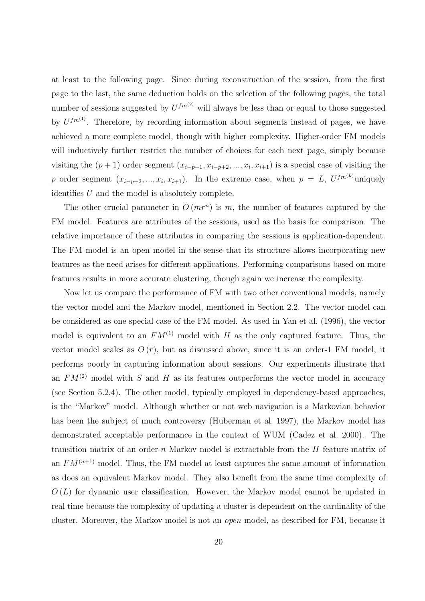at least to the following page. Since during reconstruction of the session, from the first page to the last, the same deduction holds on the selection of the following pages, the total number of sessions suggested by  $U^{fm^{(2)}}$  will always be less than or equal to those suggested by  $U^{fm^{(1)}}$ . Therefore, by recording information about segments instead of pages, we have achieved a more complete model, though with higher complexity. Higher-order FM models will inductively further restrict the number of choices for each next page, simply because visiting the  $(p+1)$  order segment  $(x_{i-p+1}, x_{i-p+2}, ..., x_i, x_{i+1})$  is a special case of visiting the p order segment  $(x_{i-p+2},...,x_i,x_{i+1})$ . In the extreme case, when  $p = L$ ,  $U^{fm^{(L)}}$  uniquely identifies U and the model is absolutely complete.

The other crucial parameter in  $O(mr^n)$  is m, the number of features captured by the FM model. Features are attributes of the sessions, used as the basis for comparison. The relative importance of these attributes in comparing the sessions is application-dependent. The FM model is an open model in the sense that its structure allows incorporating new features as the need arises for different applications. Performing comparisons based on more features results in more accurate clustering, though again we increase the complexity.

Now let us compare the performance of FM with two other conventional models, namely the vector model and the Markov model, mentioned in Section 2.2. The vector model can be considered as one special case of the FM model. As used in Yan et al. (1996), the vector model is equivalent to an  $FM^{(1)}$  model with H as the only captured feature. Thus, the vector model scales as  $O(r)$ , but as discussed above, since it is an order-1 FM model, it performs poorly in capturing information about sessions. Our experiments illustrate that an  $FM^{(2)}$  model with S and H as its features outperforms the vector model in accuracy (see Section 5.2.4). The other model, typically employed in dependency-based approaches, is the "Markov" model. Although whether or not web navigation is a Markovian behavior has been the subject of much controversy (Huberman et al. 1997), the Markov model has demonstrated acceptable performance in the context of WUM (Cadez et al. 2000). The transition matrix of an order-n Markov model is extractable from the  $H$  feature matrix of an  $FM^{(n+1)}$  model. Thus, the FM model at least captures the same amount of information as does an equivalent Markov model. They also benefit from the same time complexity of  $O(L)$  for dynamic user classification. However, the Markov model cannot be updated in real time because the complexity of updating a cluster is dependent on the cardinality of the cluster. Moreover, the Markov model is not an open model, as described for FM, because it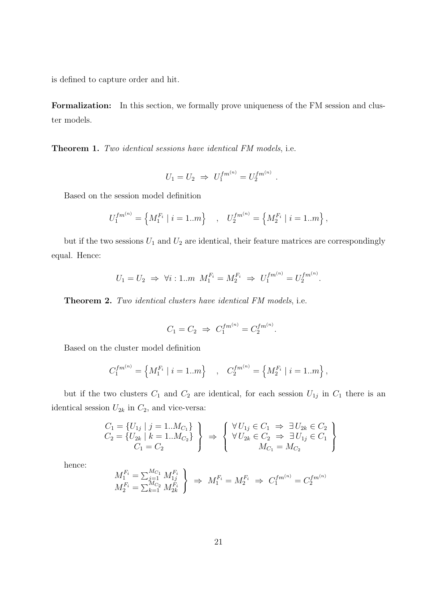is defined to capture order and hit.

Formalization: In this section, we formally prove uniqueness of the FM session and cluster models.

Theorem 1. Two identical sessions have identical FM models, i.e.

$$
U_1 = U_2 \Rightarrow U_1^{fm^{(n)}} = U_2^{fm^{(n)}}.
$$

Based on the session model definition

$$
U_1^{fm^{(n)}} = \left\{ M_1^{F_i} \mid i = 1..m \right\} , U_2^{fm^{(n)}} = \left\{ M_2^{F_i} \mid i = 1..m \right\},\,
$$

but if the two sessions  $U_1$  and  $U_2$  are identical, their feature matrices are correspondingly equal. Hence:

$$
U_1 = U_2 \Rightarrow \forall i: 1..m \ M_1^{F_i} = M_2^{F_i} \Rightarrow U_1^{fm^{(n)}} = U_2^{fm^{(n)}}.
$$

Theorem 2. Two identical clusters have identical FM models, i.e.

$$
C_1 = C_2 \Rightarrow C_1^{fm^{(n)}} = C_2^{fm^{(n)}}.
$$

Based on the cluster model definition

$$
C_1^{fm^{(n)}} = \left\{ M_1^{F_i} \mid i = 1..m \right\} , \quad C_2^{fm^{(n)}} = \left\{ M_2^{F_i} \mid i = 1..m \right\},\,
$$

but if the two clusters  $C_1$  and  $C_2$  are identical, for each session  $U_{1j}$  in  $C_1$  there is an identical session  $U_{2k}$  in  $C_2$ , and vice-versa:

$$
C_1 = \{U_{1j} \mid j = 1..M_{C_1}\} C_2 = \{U_{2k} \mid k = 1..M_{C_2}\} C_1 = C_2
$$
 
$$
\begin{cases} \forall U_{1j} \in C_1 \Rightarrow \exists U_{2k} \in C_2 \\ \forall U_{2k} \in C_2 \Rightarrow \exists U_{1j} \in C_1 \\ M_{C_1} = M_{C_2} \end{cases}
$$

hence:

$$
\begin{array}{lcl}\nM_1^{F_i} = \sum_{j=1}^{M_{C_1}} M_{1j}^{F_i} \\
M_2^{F_i} = \sum_{k=1}^{M_{C_2}} M_{2k}^{F_i}\n\end{array} \Rightarrow \ M_1^{F_i} = M_2^{F_i} \Rightarrow C_1^{fm^{(n)}} = C_2^{fm^{(n)}}
$$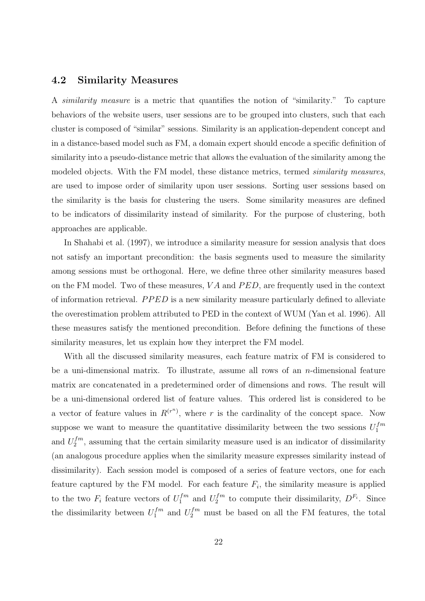### 4.2 Similarity Measures

A similarity measure is a metric that quantifies the notion of "similarity." To capture behaviors of the website users, user sessions are to be grouped into clusters, such that each cluster is composed of "similar" sessions. Similarity is an application-dependent concept and in a distance-based model such as FM, a domain expert should encode a specific definition of similarity into a pseudo-distance metric that allows the evaluation of the similarity among the modeled objects. With the FM model, these distance metrics, termed *similarity measures*, are used to impose order of similarity upon user sessions. Sorting user sessions based on the similarity is the basis for clustering the users. Some similarity measures are defined to be indicators of dissimilarity instead of similarity. For the purpose of clustering, both approaches are applicable.

In Shahabi et al. (1997), we introduce a similarity measure for session analysis that does not satisfy an important precondition: the basis segments used to measure the similarity among sessions must be orthogonal. Here, we define three other similarity measures based on the FM model. Two of these measures,  $VA$  and  $PED$ , are frequently used in the context of information retrieval. PPED is a new similarity measure particularly defined to alleviate the overestimation problem attributed to PED in the context of WUM (Yan et al. 1996). All these measures satisfy the mentioned precondition. Before defining the functions of these similarity measures, let us explain how they interpret the FM model.

With all the discussed similarity measures, each feature matrix of FM is considered to be a uni-dimensional matrix. To illustrate, assume all rows of an  $n$ -dimensional feature matrix are concatenated in a predetermined order of dimensions and rows. The result will be a uni-dimensional ordered list of feature values. This ordered list is considered to be a vector of feature values in  $R^{(r^n)}$ , where r is the cardinality of the concept space. Now suppose we want to measure the quantitative dissimilarity between the two sessions  $U_1^{fm}$ 1 and  $U_2^{fm}$  $U_2^{m}$ , assuming that the certain similarity measure used is an indicator of dissimilarity (an analogous procedure applies when the similarity measure expresses similarity instead of dissimilarity). Each session model is composed of a series of feature vectors, one for each feature captured by the FM model. For each feature  $F_i$ , the similarity measure is applied to the two  $F_i$  feature vectors of  $U_1^{fm}$  and  $U_2^{fm}$  $t_2^{fm}$  to compute their dissimilarity,  $D^{F_i}$ . Since the dissimilarity between  $U_1^{fm}$  and  $U_2^{fm}$  must be based on all the FM features, the total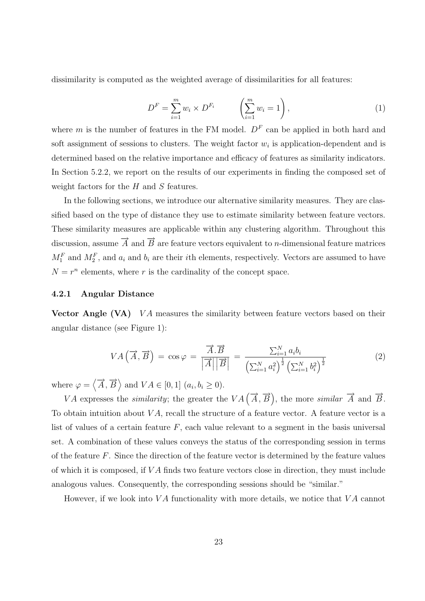dissimilarity is computed as the weighted average of dissimilarities for all features:

$$
D^{F} = \sum_{i=1}^{m} w_{i} \times D^{F_{i}} \qquad \left(\sum_{i=1}^{m} w_{i} = 1\right), \qquad (1)
$$

where m is the number of features in the FM model.  $D<sup>F</sup>$  can be applied in both hard and soft assignment of sessions to clusters. The weight factor  $w_i$  is application-dependent and is determined based on the relative importance and efficacy of features as similarity indicators. In Section 5.2.2, we report on the results of our experiments in finding the composed set of weight factors for the  $H$  and  $S$  features.

In the following sections, we introduce our alternative similarity measures. They are classified based on the type of distance they use to estimate similarity between feature vectors. These similarity measures are applicable within any clustering algorithm. Throughout this discussion, assume  $\overrightarrow{A}$  and  $\overrightarrow{B}$  are feature vectors equivalent to *n*-dimensional feature matrices  $M_1^F$  and  $M_2^F$ , and  $a_i$  and  $b_i$  are their *i*th elements, respectively. Vectors are assumed to have  $N = r^n$  elements, where r is the cardinality of the concept space.

#### 4.2.1 Angular Distance

Vector Angle (VA) VA measures the similarity between feature vectors based on their angular distance (see Figure 1):

$$
VA\left(\overrightarrow{A}, \overrightarrow{B}\right) = \cos\varphi = \frac{\overrightarrow{A} \cdot \overrightarrow{B}}{\left|\overrightarrow{A}\right| \left|\overrightarrow{B}\right|} = \frac{\sum_{i=1}^{N} a_i b_i}{\left(\sum_{i=1}^{N} a_i^2\right)^{\frac{1}{2}} \left(\sum_{i=1}^{N} b_i^2\right)^{\frac{1}{2}}}
$$
(2)

where  $\varphi = \langle \overrightarrow{A}, \overrightarrow{B} \rangle$  and  $VA \in [0, 1]$   $(a_i, b_i \ge 0)$ .

VA expresses the *similarity*; the greater the VA  $(\vec{A}, \vec{B})$ , the more *similar*  $\vec{A}$  and  $\vec{B}$ . To obtain intuition about  $VA$ , recall the structure of a feature vector. A feature vector is a list of values of a certain feature  $F$ , each value relevant to a segment in the basis universal set. A combination of these values conveys the status of the corresponding session in terms of the feature  $F$ . Since the direction of the feature vector is determined by the feature values of which it is composed, if  $VA$  finds two feature vectors close in direction, they must include analogous values. Consequently, the corresponding sessions should be "similar."

However, if we look into  $VA$  functionality with more details, we notice that  $VA$  cannot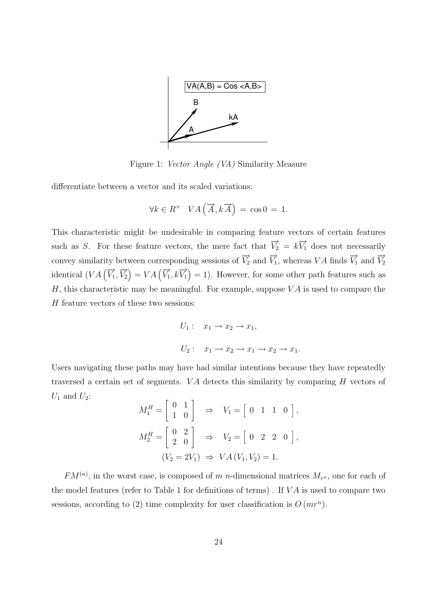

Figure 1: Vector Angle (VA) Similarity Measure

differentiate between a vector and its scaled variations:

$$
\forall k \in R^+ \quad VA\left(\overrightarrow{A}, k\overrightarrow{A}\right) \, = \, \cos 0 \, = \, 1.
$$

This characteristic might be undesirable in comparing feature vectors of certain features such as S. For these feature vectors, the mere fact that  $\overrightarrow{V_2} = k\overrightarrow{V_1}$  does not necessarily convey similarity between corresponding sessions of  $\overrightarrow{V_2}$  and  $\overrightarrow{V_1}$ , whereas VA finds  $\overrightarrow{V_1}$  and  $\overrightarrow{V_2}$ identical  $(VA(\overrightarrow{V_1}, \overrightarrow{V_2}) = VA(\overrightarrow{V_1}, k\overrightarrow{V_1}) = 1)$ . However, for some other path features such as H, this characteristic may be meaningful. For example, suppose  $VA$  is used to compare the  $H$  feature vectors of these two sessions:

$$
U_1: x_1 \to x_2 \to x_1,
$$
  

$$
U_2: x_1 \to x_2 \to x_1 \to x_2 \to x_1.
$$

Users navigating these paths may have had similar intentions because they have repeatedly traversed a certain set of segments.  $VA$  detects this similarity by comparing  $H$  vectors of  $U_1$  and  $U_2$ :

$$
M_1^H = \begin{bmatrix} 0 & 1 \\ 1 & 0 \end{bmatrix} \Rightarrow V_1 = \begin{bmatrix} 0 & 1 & 1 & 0 \end{bmatrix},
$$
  
\n
$$
M_2^H = \begin{bmatrix} 0 & 2 \\ 2 & 0 \end{bmatrix} \Rightarrow V_2 = \begin{bmatrix} 0 & 2 & 2 & 0 \end{bmatrix},
$$
  
\n
$$
(V_2 = 2V_1) \Rightarrow VA(V_1, V_2) = 1.
$$

 $FM^{(n)}$ , in the worst case, is composed of m n-dimensional matrices  $M_{r^n}$ , one for each of the model features (refer to Table 1 for definitions of terms). If  $VA$  is used to compare two sessions, according to (2) time complexity for user classification is  $O(mr^n)$ .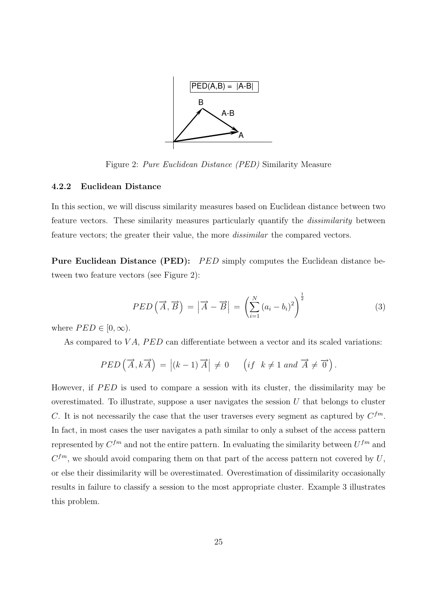

Figure 2: Pure Euclidean Distance (PED) Similarity Measure

#### 4.2.2 Euclidean Distance

In this section, we will discuss similarity measures based on Euclidean distance between two feature vectors. These similarity measures particularly quantify the dissimilarity between feature vectors; the greater their value, the more dissimilar the compared vectors.

Pure Euclidean Distance (PED): PED simply computes the Euclidean distance between two feature vectors (see Figure 2):

$$
PED\left(\overrightarrow{A},\overrightarrow{B}\right) = \left|\overrightarrow{A} - \overrightarrow{B}\right| = \left(\sum_{i=1}^{N} (a_i - b_i)^2\right)^{\frac{1}{2}}
$$
\n(3)

where  $PED \in [0, \infty)$ .

As compared to  $VA$ ,  $PED$  can differentiate between a vector and its scaled variations:

$$
PED\left(\overrightarrow{A}, k\overrightarrow{A}\right) = \left|(k-1)\overrightarrow{A}\right| \neq 0 \quad \left(if \ k \neq 1 \ and \ \overrightarrow{A} \neq \overrightarrow{0}\right).
$$

However, if PED is used to compare a session with its cluster, the dissimilarity may be overestimated. To illustrate, suppose a user navigates the session  $U$  that belongs to cluster C. It is not necessarily the case that the user traverses every segment as captured by  $C^{fm}$ . In fact, in most cases the user navigates a path similar to only a subset of the access pattern represented by  $C^{fm}$  and not the entire pattern. In evaluating the similarity between  $U^{fm}$  and  $C^{fm}$ , we should avoid comparing them on that part of the access pattern not covered by  $U$ , or else their dissimilarity will be overestimated. Overestimation of dissimilarity occasionally results in failure to classify a session to the most appropriate cluster. Example 3 illustrates this problem.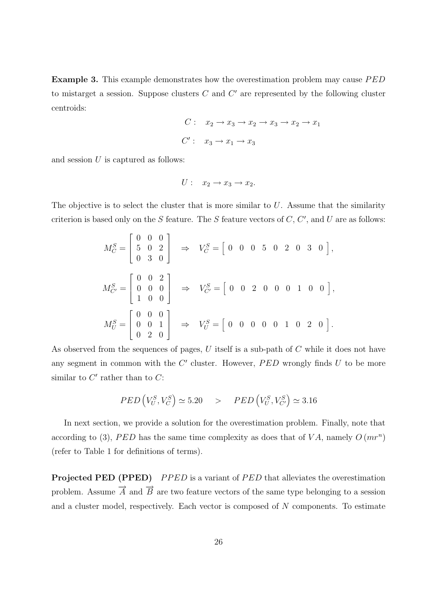Example 3. This example demonstrates how the overestimation problem may cause PED to mistarget a session. Suppose clusters  $C$  and  $C'$  are represented by the following cluster centroids:

$$
C: x_2 \to x_3 \to x_2 \to x_3 \to x_2 \to x_1
$$
  

$$
C': x_3 \to x_1 \to x_3
$$

and session  $U$  is captured as follows:

$$
U: x_2 \to x_3 \to x_2.
$$

The objective is to select the cluster that is more similar to  $U$ . Assume that the similarity criterion is based only on the S feature. The S feature vectors of  $C, C',$  and U are as follows:

$$
M_C^S = \begin{bmatrix} 0 & 0 & 0 \\ 5 & 0 & 2 \\ 0 & 3 & 0 \end{bmatrix} \Rightarrow V_C^S = \begin{bmatrix} 0 & 0 & 0 & 5 & 0 & 2 & 0 & 3 & 0 \end{bmatrix},
$$
  
\n
$$
M_{C'}^S = \begin{bmatrix} 0 & 0 & 2 \\ 0 & 0 & 0 \\ 1 & 0 & 0 \end{bmatrix} \Rightarrow V_{C'}^S = \begin{bmatrix} 0 & 0 & 2 & 0 & 0 & 0 & 1 & 0 & 0 \end{bmatrix},
$$
  
\n
$$
M_U^S = \begin{bmatrix} 0 & 0 & 0 \\ 0 & 0 & 1 \\ 0 & 2 & 0 \end{bmatrix} \Rightarrow V_U^S = \begin{bmatrix} 0 & 0 & 0 & 0 & 0 & 1 & 0 & 2 & 0 \end{bmatrix}.
$$

As observed from the sequences of pages,  $U$  itself is a sub-path of  $C$  while it does not have any segment in common with the  $C'$  cluster. However,  $PED$  wrongly finds  $U$  to be more similar to  $C'$  rather than to  $C$ :

$$
PED\left(V_U^S, V_C^S\right) \simeq 5.20 \quad > \quad PED\left(V_U^S, V_{C'}^S\right) \simeq 3.16
$$

In next section, we provide a solution for the overestimation problem. Finally, note that according to (3), PED has the same time complexity as does that of  $VA$ , namely  $O(mr^n)$ (refer to Table 1 for definitions of terms).

Projected PED (PPED) PPED is a variant of PED that alleviates the overestimation problem. Assume  $\overrightarrow{A}$  and  $\overrightarrow{B}$  are two feature vectors of the same type belonging to a session and a cluster model, respectively. Each vector is composed of N components. To estimate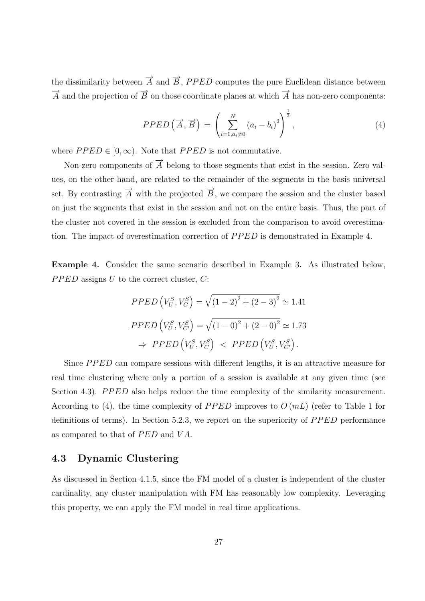the dissimilarity between  $\overrightarrow{A}$  and  $\overrightarrow{B}$ ,  $PPED$  computes the pure Euclidean distance between  $\overrightarrow{A}$  and the projection of  $\overrightarrow{B}$  on those coordinate planes at which  $\overrightarrow{A}$  has non-zero components:

$$
PPED\left(\overrightarrow{A},\overrightarrow{B}\right) = \left(\sum_{i=1, a_i \neq 0}^{N} (a_i - b_i)^2\right)^{\frac{1}{2}},\tag{4}
$$

where  $PPED \in [0, \infty)$ . Note that  $PPED$  is not commutative.

Non-zero components of  $\overrightarrow{A}$  belong to those segments that exist in the session. Zero values, on the other hand, are related to the remainder of the segments in the basis universal set. By contrasting  $\overrightarrow{A}$  with the projected  $\overrightarrow{B}$ , we compare the session and the cluster based on just the segments that exist in the session and not on the entire basis. Thus, the part of the cluster not covered in the session is excluded from the comparison to avoid overestimation. The impact of overestimation correction of PPED is demonstrated in Example 4.

Example 4. Consider the same scenario described in Example 3. As illustrated below,  $PPED$  assigns U to the correct cluster,  $C$ :

*PPED* 
$$
(V_U^S, V_C^S) = \sqrt{(1-2)^2 + (2-3)^2} \approx 1.41
$$
  
\n*PPED*  $(V_U^S, V_{C'}^S) = \sqrt{(1-0)^2 + (2-0)^2} \approx 1.73$   
\n⇒ *PPED*  $(V_U^S, V_C^S) PPED  $(V_U^S, V_{C'}^S)$ .$ 

Since PPED can compare sessions with different lengths, it is an attractive measure for real time clustering where only a portion of a session is available at any given time (see Section 4.3). *PPED* also helps reduce the time complexity of the similarity measurement. According to (4), the time complexity of  $PPED$  improves to  $O(mL)$  (refer to Table 1 for definitions of terms). In Section 5.2.3, we report on the superiority of PPED performance as compared to that of PED and VA.

## 4.3 Dynamic Clustering

As discussed in Section 4.1.5, since the FM model of a cluster is independent of the cluster cardinality, any cluster manipulation with FM has reasonably low complexity. Leveraging this property, we can apply the FM model in real time applications.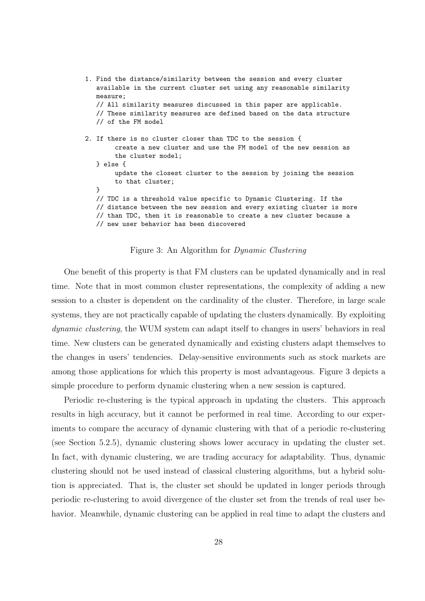1. Find the distance/similarity between the session and every cluster available in the current cluster set using any reasonable similarity measure; // All similarity measures discussed in this paper are applicable. // These similarity measures are defined based on the data structure // of the FM model 2. If there is no cluster closer than TDC to the session { create a new cluster and use the FM model of the new session as the cluster model; } else { update the closest cluster to the session by joining the session to that cluster; } // TDC is a threshold value specific to Dynamic Clustering. If the // distance between the new session and every existing cluster is more // than TDC, then it is reasonable to create a new cluster because a // new user behavior has been discovered

#### Figure 3: An Algorithm for Dynamic Clustering

One benefit of this property is that FM clusters can be updated dynamically and in real time. Note that in most common cluster representations, the complexity of adding a new session to a cluster is dependent on the cardinality of the cluster. Therefore, in large scale systems, they are not practically capable of updating the clusters dynamically. By exploiting dynamic clustering, the WUM system can adapt itself to changes in users' behaviors in real time. New clusters can be generated dynamically and existing clusters adapt themselves to the changes in users' tendencies. Delay-sensitive environments such as stock markets are among those applications for which this property is most advantageous. Figure 3 depicts a simple procedure to perform dynamic clustering when a new session is captured.

Periodic re-clustering is the typical approach in updating the clusters. This approach results in high accuracy, but it cannot be performed in real time. According to our experiments to compare the accuracy of dynamic clustering with that of a periodic re-clustering (see Section 5.2.5), dynamic clustering shows lower accuracy in updating the cluster set. In fact, with dynamic clustering, we are trading accuracy for adaptability. Thus, dynamic clustering should not be used instead of classical clustering algorithms, but a hybrid solution is appreciated. That is, the cluster set should be updated in longer periods through periodic re-clustering to avoid divergence of the cluster set from the trends of real user behavior. Meanwhile, dynamic clustering can be applied in real time to adapt the clusters and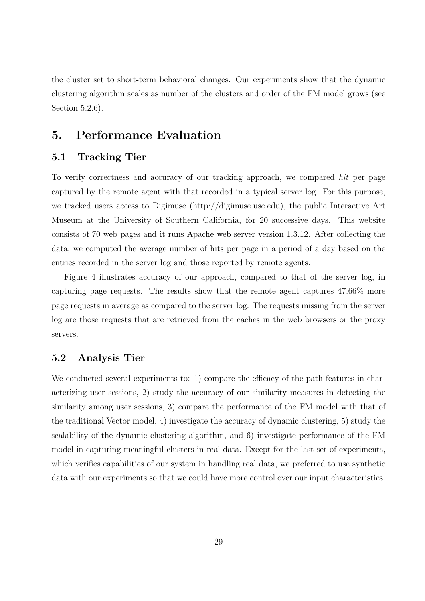the cluster set to short-term behavioral changes. Our experiments show that the dynamic clustering algorithm scales as number of the clusters and order of the FM model grows (see Section 5.2.6).

# 5. Performance Evaluation

## 5.1 Tracking Tier

To verify correctness and accuracy of our tracking approach, we compared hit per page captured by the remote agent with that recorded in a typical server log. For this purpose, we tracked users access to Digimuse (http://digimuse.usc.edu), the public Interactive Art Museum at the University of Southern California, for 20 successive days. This website consists of 70 web pages and it runs Apache web server version 1.3.12. After collecting the data, we computed the average number of hits per page in a period of a day based on the entries recorded in the server log and those reported by remote agents.

Figure 4 illustrates accuracy of our approach, compared to that of the server log, in capturing page requests. The results show that the remote agent captures 47.66% more page requests in average as compared to the server log. The requests missing from the server log are those requests that are retrieved from the caches in the web browsers or the proxy servers.

## 5.2 Analysis Tier

We conducted several experiments to: 1) compare the efficacy of the path features in characterizing user sessions, 2) study the accuracy of our similarity measures in detecting the similarity among user sessions, 3) compare the performance of the FM model with that of the traditional Vector model, 4) investigate the accuracy of dynamic clustering, 5) study the scalability of the dynamic clustering algorithm, and 6) investigate performance of the FM model in capturing meaningful clusters in real data. Except for the last set of experiments, which verifies capabilities of our system in handling real data, we preferred to use synthetic data with our experiments so that we could have more control over our input characteristics.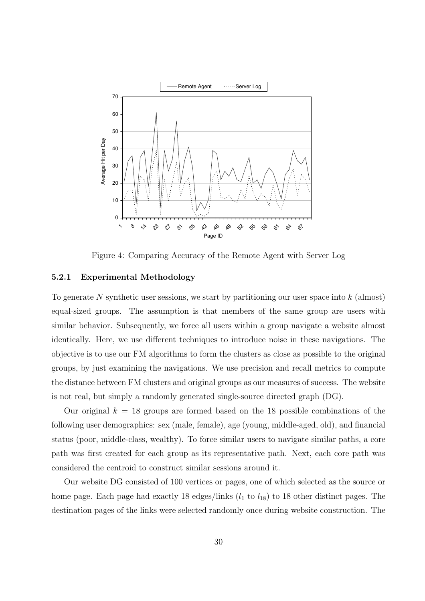

Figure 4: Comparing Accuracy of the Remote Agent with Server Log

### 5.2.1 Experimental Methodology

To generate N synthetic user sessions, we start by partitioning our user space into  $k$  (almost) equal-sized groups. The assumption is that members of the same group are users with similar behavior. Subsequently, we force all users within a group navigate a website almost identically. Here, we use different techniques to introduce noise in these navigations. The objective is to use our FM algorithms to form the clusters as close as possible to the original groups, by just examining the navigations. We use precision and recall metrics to compute the distance between FM clusters and original groups as our measures of success. The website is not real, but simply a randomly generated single-source directed graph (DG).

Our original  $k = 18$  groups are formed based on the 18 possible combinations of the following user demographics: sex (male, female), age (young, middle-aged, old), and financial status (poor, middle-class, wealthy). To force similar users to navigate similar paths, a core path was first created for each group as its representative path. Next, each core path was considered the centroid to construct similar sessions around it.

Our website DG consisted of 100 vertices or pages, one of which selected as the source or home page. Each page had exactly 18 edges/links  $(l_1 \text{ to } l_{18})$  to 18 other distinct pages. The destination pages of the links were selected randomly once during website construction. The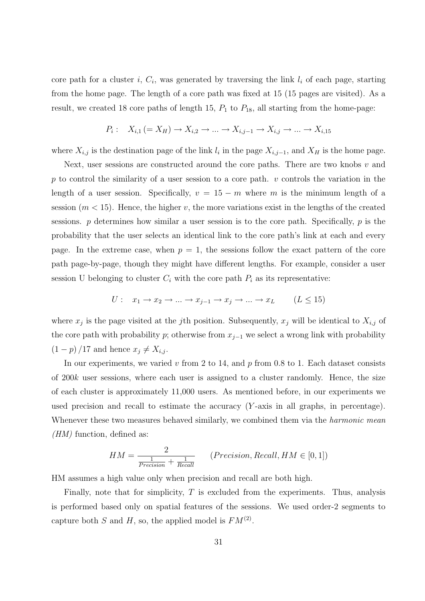core path for a cluster i,  $C_i$ , was generated by traversing the link  $l_i$  of each page, starting from the home page. The length of a core path was fixed at 15 (15 pages are visited). As a result, we created 18 core paths of length 15,  $P_1$  to  $P_{18}$ , all starting from the home-page:

$$
P_i: X_{i,1} (= X_H) \to X_{i,2} \to \dots \to X_{i,j-1} \to X_{i,j} \to \dots \to X_{i,15}
$$

where  $X_{i,j}$  is the destination page of the link  $l_i$  in the page  $X_{i,j-1}$ , and  $X_H$  is the home page.

Next, user sessions are constructed around the core paths. There are two knobs  $v$  and p to control the similarity of a user session to a core path.  $\nu$  controls the variation in the length of a user session. Specifically,  $v = 15 - m$  where m is the minimum length of a session  $(m < 15)$ . Hence, the higher v, the more variations exist in the lengths of the created sessions. p determines how similar a user session is to the core path. Specifically,  $p$  is the probability that the user selects an identical link to the core path's link at each and every page. In the extreme case, when  $p = 1$ , the sessions follow the exact pattern of the core path page-by-page, though they might have different lengths. For example, consider a user session U belonging to cluster  $C_i$  with the core path  $P_i$  as its representative:

$$
U: x_1 \to x_2 \to \dots \to x_{j-1} \to x_j \to \dots \to x_L \qquad (L \le 15)
$$

where  $x_j$  is the page visited at the *j*th position. Subsequently,  $x_j$  will be identical to  $X_{i,j}$  of the core path with probability p; otherwise from  $x_{j-1}$  we select a wrong link with probability  $(1-p)/17$  and hence  $x_j \neq X_{i,j}$ .

In our experiments, we varied v from 2 to 14, and  $p$  from 0.8 to 1. Each dataset consists of 200k user sessions, where each user is assigned to a cluster randomly. Hence, the size of each cluster is approximately 11,000 users. As mentioned before, in our experiments we used precision and recall to estimate the accuracy  $(Y$ -axis in all graphs, in percentage). Whenever these two measures behaved similarly, we combined them via the *harmonic mean*  $(HM)$  function, defined as:

$$
HM = \frac{2}{\frac{1}{Precision} + \frac{1}{Recall}} \qquad (Precision, Recall, HM \in [0, 1])
$$

HM assumes a high value only when precision and recall are both high.

Finally, note that for simplicity,  $T$  is excluded from the experiments. Thus, analysis is performed based only on spatial features of the sessions. We used order-2 segments to capture both S and H, so, the applied model is  $FM^{(2)}$ .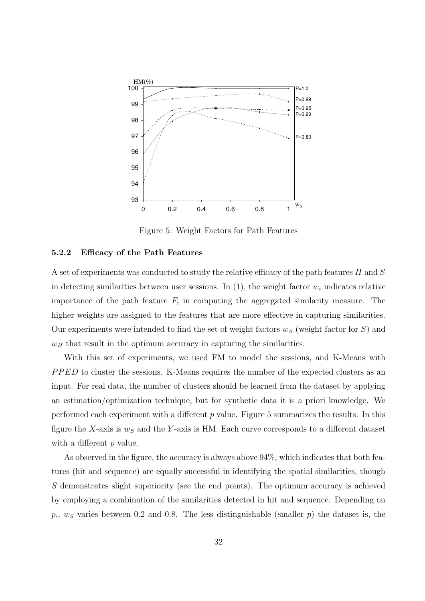

Figure 5: Weight Factors for Path Features

#### 5.2.2 Efficacy of the Path Features

A set of experiments was conducted to study the relative efficacy of the path features H and S in detecting similarities between user sessions. In  $(1)$ , the weight factor  $w_i$  indicates relative importance of the path feature  $F_i$  in computing the aggregated similarity measure. The higher weights are assigned to the features that are more effective in capturing similarities. Our experiments were intended to find the set of weight factors  $w<sub>S</sub>$  (weight factor for S) and  $w_H$  that result in the optimum accuracy in capturing the similarities.

With this set of experiments, we used FM to model the sessions, and K-Means with PPED to cluster the sessions. K-Means requires the number of the expected clusters as an input. For real data, the number of clusters should be learned from the dataset by applying an estimation/optimization technique, but for synthetic data it is a priori knowledge. We performed each experiment with a different  $p$  value. Figure 5 summarizes the results. In this figure the X-axis is  $w<sub>S</sub>$  and the Y-axis is HM. Each curve corresponds to a different dataset with a different p value.

As observed in the figure, the accuracy is always above 94%, which indicates that both features (hit and sequence) are equally successful in identifying the spatial similarities, though S demonstrates slight superiority (see the end points). The optimum accuracy is achieved by employing a combination of the similarities detected in hit and sequence. Depending on  $p_i$ ,  $w_s$  varies between 0.2 and 0.8. The less distinguishable (smaller p) the dataset is, the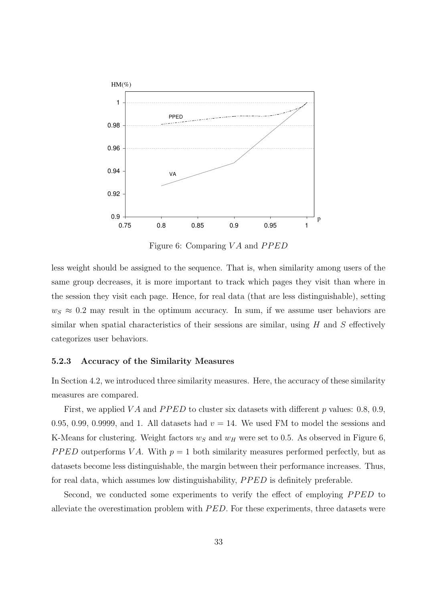

Figure 6: Comparing VA and PPED

less weight should be assigned to the sequence. That is, when similarity among users of the same group decreases, it is more important to track which pages they visit than where in the session they visit each page. Hence, for real data (that are less distinguishable), setting  $w_S \approx 0.2$  may result in the optimum accuracy. In sum, if we assume user behaviors are similar when spatial characteristics of their sessions are similar, using  $H$  and  $S$  effectively categorizes user behaviors.

#### 5.2.3 Accuracy of the Similarity Measures

In Section 4.2, we introduced three similarity measures. Here, the accuracy of these similarity measures are compared.

First, we applied  $VA$  and  $PPED$  to cluster six datasets with different p values: 0.8, 0.9, 0.95, 0.99, 0.9999, and 1. All datasets had  $v = 14$ . We used FM to model the sessions and K-Means for clustering. Weight factors  $w_S$  and  $w_H$  were set to 0.5. As observed in Figure 6, PPED outperforms VA. With  $p = 1$  both similarity measures performed perfectly, but as datasets become less distinguishable, the margin between their performance increases. Thus, for real data, which assumes low distinguishability, PPED is definitely preferable.

Second, we conducted some experiments to verify the effect of employing PPED to alleviate the overestimation problem with PED. For these experiments, three datasets were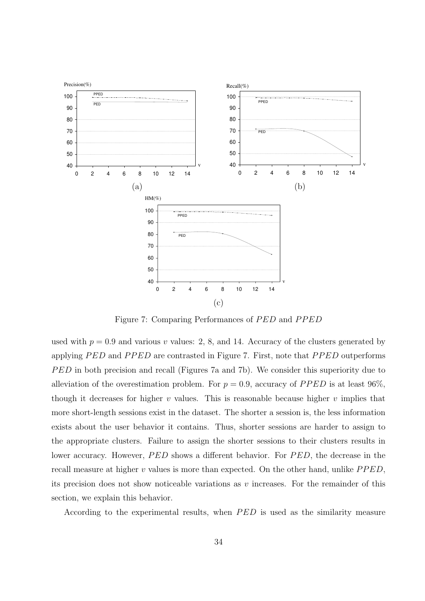

Figure 7: Comparing Performances of PED and PPED

used with  $p = 0.9$  and various v values: 2, 8, and 14. Accuracy of the clusters generated by applying PED and PPED are contrasted in Figure 7. First, note that PPED outperforms PED in both precision and recall (Figures 7a and 7b). We consider this superiority due to alleviation of the overestimation problem. For  $p = 0.9$ , accuracy of PPED is at least 96%, though it decreases for higher v values. This is reasonable because higher v implies that more short-length sessions exist in the dataset. The shorter a session is, the less information exists about the user behavior it contains. Thus, shorter sessions are harder to assign to the appropriate clusters. Failure to assign the shorter sessions to their clusters results in lower accuracy. However, PED shows a different behavior. For PED, the decrease in the recall measure at higher v values is more than expected. On the other hand, unlike PPED, its precision does not show noticeable variations as  $v$  increases. For the remainder of this section, we explain this behavior.

According to the experimental results, when PED is used as the similarity measure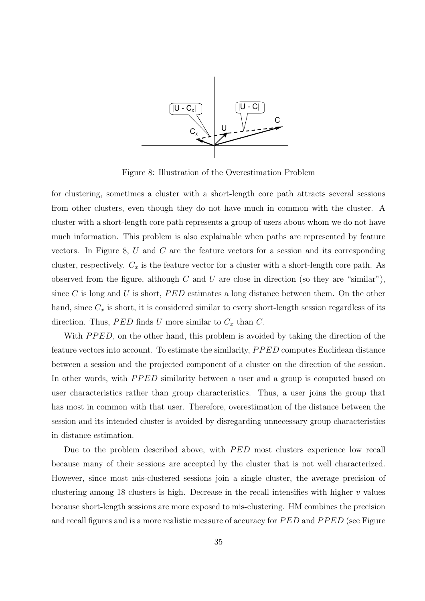

Figure 8: Illustration of the Overestimation Problem

for clustering, sometimes a cluster with a short-length core path attracts several sessions from other clusters, even though they do not have much in common with the cluster. A cluster with a short-length core path represents a group of users about whom we do not have much information. This problem is also explainable when paths are represented by feature vectors. In Figure 8, U and C are the feature vectors for a session and its corresponding cluster, respectively.  $C_x$  is the feature vector for a cluster with a short-length core path. As observed from the figure, although  $C$  and  $U$  are close in direction (so they are "similar"), since C is long and U is short,  $PED$  estimates a long distance between them. On the other hand, since  $C_x$  is short, it is considered similar to every short-length session regardless of its direction. Thus, PED finds U more similar to  $C_x$  than C.

With *PPED*, on the other hand, this problem is avoided by taking the direction of the feature vectors into account. To estimate the similarity, PPED computes Euclidean distance between a session and the projected component of a cluster on the direction of the session. In other words, with PPED similarity between a user and a group is computed based on user characteristics rather than group characteristics. Thus, a user joins the group that has most in common with that user. Therefore, overestimation of the distance between the session and its intended cluster is avoided by disregarding unnecessary group characteristics in distance estimation.

Due to the problem described above, with *PED* most clusters experience low recall because many of their sessions are accepted by the cluster that is not well characterized. However, since most mis-clustered sessions join a single cluster, the average precision of clustering among 18 clusters is high. Decrease in the recall intensifies with higher  $v$  values because short-length sessions are more exposed to mis-clustering. HM combines the precision and recall figures and is a more realistic measure of accuracy for PED and PPED (see Figure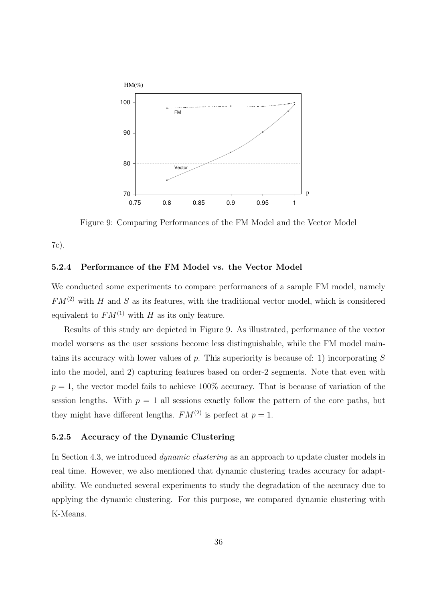

Figure 9: Comparing Performances of the FM Model and the Vector Model

7c).

#### 5.2.4 Performance of the FM Model vs. the Vector Model

We conducted some experiments to compare performances of a sample FM model, namely  $FM<sup>(2)</sup>$  with H and S as its features, with the traditional vector model, which is considered equivalent to  $FM^{(1)}$  with H as its only feature.

Results of this study are depicted in Figure 9. As illustrated, performance of the vector model worsens as the user sessions become less distinguishable, while the FM model maintains its accuracy with lower values of p. This superiority is because of: 1) incorporating  $S$ into the model, and 2) capturing features based on order-2 segments. Note that even with  $p = 1$ , the vector model fails to achieve 100% accuracy. That is because of variation of the session lengths. With  $p = 1$  all sessions exactly follow the pattern of the core paths, but they might have different lengths.  $FM^{(2)}$  is perfect at  $p=1$ .

#### 5.2.5 Accuracy of the Dynamic Clustering

In Section 4.3, we introduced *dynamic clustering* as an approach to update cluster models in real time. However, we also mentioned that dynamic clustering trades accuracy for adaptability. We conducted several experiments to study the degradation of the accuracy due to applying the dynamic clustering. For this purpose, we compared dynamic clustering with K-Means.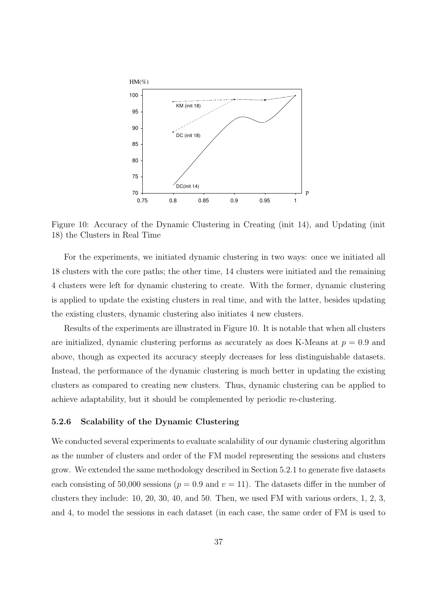

Figure 10: Accuracy of the Dynamic Clustering in Creating (init 14), and Updating (init 18) the Clusters in Real Time

For the experiments, we initiated dynamic clustering in two ways: once we initiated all 18 clusters with the core paths; the other time, 14 clusters were initiated and the remaining 4 clusters were left for dynamic clustering to create. With the former, dynamic clustering is applied to update the existing clusters in real time, and with the latter, besides updating the existing clusters, dynamic clustering also initiates 4 new clusters.

Results of the experiments are illustrated in Figure 10. It is notable that when all clusters are initialized, dynamic clustering performs as accurately as does K-Means at  $p = 0.9$  and above, though as expected its accuracy steeply decreases for less distinguishable datasets. Instead, the performance of the dynamic clustering is much better in updating the existing clusters as compared to creating new clusters. Thus, dynamic clustering can be applied to achieve adaptability, but it should be complemented by periodic re-clustering.

#### 5.2.6 Scalability of the Dynamic Clustering

We conducted several experiments to evaluate scalability of our dynamic clustering algorithm as the number of clusters and order of the FM model representing the sessions and clusters grow. We extended the same methodology described in Section 5.2.1 to generate five datasets each consisting of 50,000 sessions ( $p = 0.9$  and  $v = 11$ ). The datasets differ in the number of clusters they include: 10, 20, 30, 40, and 50. Then, we used FM with various orders, 1, 2, 3, and 4, to model the sessions in each dataset (in each case, the same order of FM is used to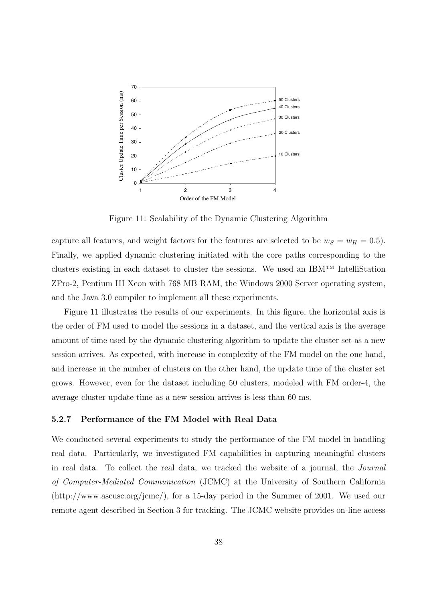

Figure 11: Scalability of the Dynamic Clustering Algorithm

capture all features, and weight factors for the features are selected to be  $w_S = w_H = 0.5$ ). Finally, we applied dynamic clustering initiated with the core paths corresponding to the clusters existing in each dataset to cluster the sessions. We used an IBM<sup>TM</sup> IntelliStation ZPro-2, Pentium III Xeon with 768 MB RAM, the Windows 2000 Server operating system, and the Java 3.0 compiler to implement all these experiments.

Figure 11 illustrates the results of our experiments. In this figure, the horizontal axis is the order of FM used to model the sessions in a dataset, and the vertical axis is the average amount of time used by the dynamic clustering algorithm to update the cluster set as a new session arrives. As expected, with increase in complexity of the FM model on the one hand, and increase in the number of clusters on the other hand, the update time of the cluster set grows. However, even for the dataset including 50 clusters, modeled with FM order-4, the average cluster update time as a new session arrives is less than 60 ms.

#### 5.2.7 Performance of the FM Model with Real Data

We conducted several experiments to study the performance of the FM model in handling real data. Particularly, we investigated FM capabilities in capturing meaningful clusters in real data. To collect the real data, we tracked the website of a journal, the Journal of Computer-Mediated Communication (JCMC) at the University of Southern California (http://www.ascusc.org/jcmc/), for a 15-day period in the Summer of 2001. We used our remote agent described in Section 3 for tracking. The JCMC website provides on-line access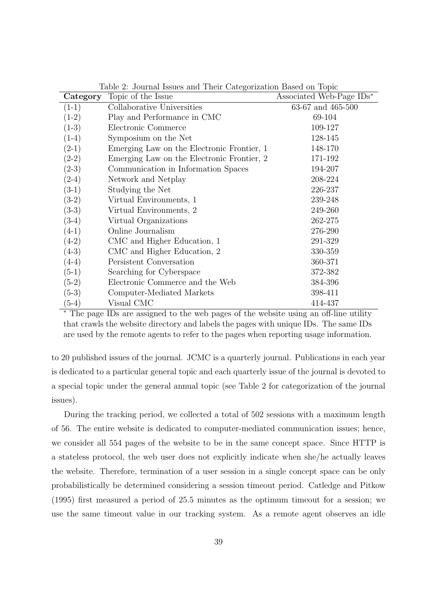| Category | Topic of the Issue                         | Associated Web-Page IDs* |
|----------|--------------------------------------------|--------------------------|
| $(1-1)$  | Collaborative Universities                 | 63-67 and 465-500        |
| $(1-2)$  | Play and Performance in CMC                | 69-104                   |
| $(1-3)$  | Electronic Commerce                        | 109-127                  |
| $(1-4)$  | Symposium on the Net                       | 128-145                  |
| $(2-1)$  | Emerging Law on the Electronic Frontier, 1 | 148-170                  |
| $(2-2)$  | Emerging Law on the Electronic Frontier, 2 | 171-192                  |
| $(2-3)$  | Communication in Information Spaces        | 194-207                  |
| $(2-4)$  | Network and Netplay                        | 208-224                  |
| $(3-1)$  | Studying the Net                           | 226-237                  |
| $(3-2)$  | Virtual Environments, 1                    | 239-248                  |
| $(3-3)$  | Virtual Environments, 2                    | 249-260                  |
| $(3-4)$  | Virtual Organizations                      | 262-275                  |
| $(4-1)$  | Online Journalism                          | 276-290                  |
| $(4-2)$  | CMC and Higher Education, 1                | 291-329                  |
| $(4-3)$  | CMC and Higher Education, 2                | 330-359                  |
| $(4-4)$  | Persistent Conversation                    | 360-371                  |
| $(5-1)$  | Searching for Cyberspace                   | 372-382                  |
| $(5-2)$  | Electronic Commerce and the Web            | 384-396                  |
| $(5-3)$  | Computer-Mediated Markets                  | 398-411                  |
| $(5-4)$  | Visual CMC                                 | 414-437                  |

Table 2: Journal Issues and Their Categorization Based on Topic

<sup>∗</sup> The page IDs are assigned to the web pages of the website using an off-line utility that crawls the website directory and labels the pages with unique IDs. The same IDs are used by the remote agents to refer to the pages when reporting usage information.

to 20 published issues of the journal. JCMC is a quarterly journal. Publications in each year is dedicated to a particular general topic and each quarterly issue of the journal is devoted to a special topic under the general annual topic (see Table 2 for categorization of the journal issues).

During the tracking period, we collected a total of 502 sessions with a maximum length of 56. The entire website is dedicated to computer-mediated communication issues; hence, we consider all 554 pages of the website to be in the same concept space. Since HTTP is a stateless protocol, the web user does not explicitly indicate when she/he actually leaves the website. Therefore, termination of a user session in a single concept space can be only probabilistically be determined considering a session timeout period. Catledge and Pitkow (1995) first measured a period of 25.5 minutes as the optimum timeout for a session; we use the same timeout value in our tracking system. As a remote agent observes an idle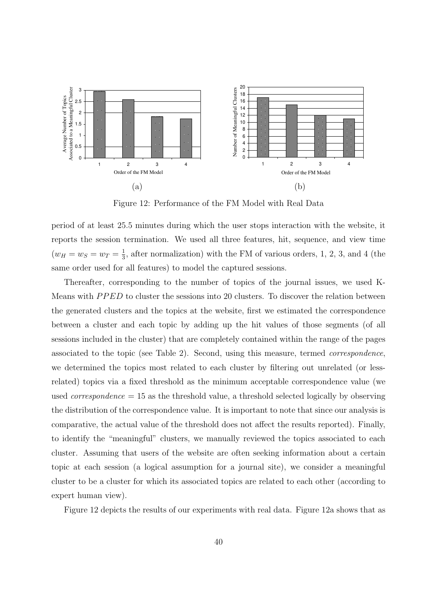

Figure 12: Performance of the FM Model with Real Data

period of at least 25.5 minutes during which the user stops interaction with the website, it reports the session termination. We used all three features, hit, sequence, and view time  $(w_H = w_S = w_T = \frac{1}{3})$  $\frac{1}{3}$ , after normalization) with the FM of various orders, 1, 2, 3, and 4 (the same order used for all features) to model the captured sessions.

Thereafter, corresponding to the number of topics of the journal issues, we used K-Means with PPED to cluster the sessions into 20 clusters. To discover the relation between the generated clusters and the topics at the website, first we estimated the correspondence between a cluster and each topic by adding up the hit values of those segments (of all sessions included in the cluster) that are completely contained within the range of the pages associated to the topic (see Table 2). Second, using this measure, termed correspondence, we determined the topics most related to each cluster by filtering out unrelated (or lessrelated) topics via a fixed threshold as the minimum acceptable correspondence value (we used *correspondence*  $= 15$  as the threshold value, a threshold selected logically by observing the distribution of the correspondence value. It is important to note that since our analysis is comparative, the actual value of the threshold does not affect the results reported). Finally, to identify the "meaningful" clusters, we manually reviewed the topics associated to each cluster. Assuming that users of the website are often seeking information about a certain topic at each session (a logical assumption for a journal site), we consider a meaningful cluster to be a cluster for which its associated topics are related to each other (according to expert human view).

Figure 12 depicts the results of our experiments with real data. Figure 12a shows that as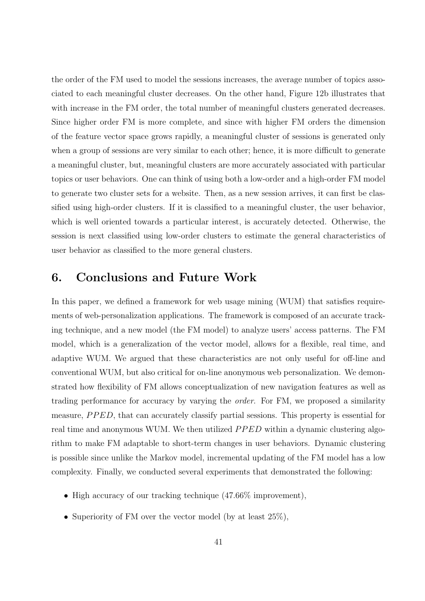the order of the FM used to model the sessions increases, the average number of topics associated to each meaningful cluster decreases. On the other hand, Figure 12b illustrates that with increase in the FM order, the total number of meaningful clusters generated decreases. Since higher order FM is more complete, and since with higher FM orders the dimension of the feature vector space grows rapidly, a meaningful cluster of sessions is generated only when a group of sessions are very similar to each other; hence, it is more difficult to generate a meaningful cluster, but, meaningful clusters are more accurately associated with particular topics or user behaviors. One can think of using both a low-order and a high-order FM model to generate two cluster sets for a website. Then, as a new session arrives, it can first be classified using high-order clusters. If it is classified to a meaningful cluster, the user behavior, which is well oriented towards a particular interest, is accurately detected. Otherwise, the session is next classified using low-order clusters to estimate the general characteristics of user behavior as classified to the more general clusters.

## 6. Conclusions and Future Work

In this paper, we defined a framework for web usage mining (WUM) that satisfies requirements of web-personalization applications. The framework is composed of an accurate tracking technique, and a new model (the FM model) to analyze users' access patterns. The FM model, which is a generalization of the vector model, allows for a flexible, real time, and adaptive WUM. We argued that these characteristics are not only useful for off-line and conventional WUM, but also critical for on-line anonymous web personalization. We demonstrated how flexibility of FM allows conceptualization of new navigation features as well as trading performance for accuracy by varying the order. For FM, we proposed a similarity measure, PPED, that can accurately classify partial sessions. This property is essential for real time and anonymous WUM. We then utilized PPED within a dynamic clustering algorithm to make FM adaptable to short-term changes in user behaviors. Dynamic clustering is possible since unlike the Markov model, incremental updating of the FM model has a low complexity. Finally, we conducted several experiments that demonstrated the following:

- High accuracy of our tracking technique  $(47.66\%$  improvement),
- Superiority of FM over the vector model (by at least  $25\%$ ),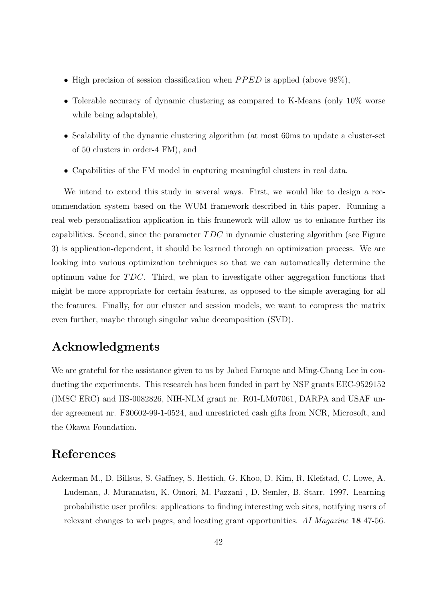- High precision of session classification when  $PPED$  is applied (above 98%),
- Tolerable accuracy of dynamic clustering as compared to K-Means (only 10% worse while being adaptable),
- Scalability of the dynamic clustering algorithm (at most 60ms to update a cluster-set of 50 clusters in order-4 FM), and
- Capabilities of the FM model in capturing meaningful clusters in real data.

We intend to extend this study in several ways. First, we would like to design a recommendation system based on the WUM framework described in this paper. Running a real web personalization application in this framework will allow us to enhance further its capabilities. Second, since the parameter  $TDC$  in dynamic clustering algorithm (see Figure 3) is application-dependent, it should be learned through an optimization process. We are looking into various optimization techniques so that we can automatically determine the optimum value for  $TDC$ . Third, we plan to investigate other aggregation functions that might be more appropriate for certain features, as opposed to the simple averaging for all the features. Finally, for our cluster and session models, we want to compress the matrix even further, maybe through singular value decomposition (SVD).

# Acknowledgments

We are grateful for the assistance given to us by Jabed Faruque and Ming-Chang Lee in conducting the experiments. This research has been funded in part by NSF grants EEC-9529152 (IMSC ERC) and IIS-0082826, NIH-NLM grant nr. R01-LM07061, DARPA and USAF under agreement nr. F30602-99-1-0524, and unrestricted cash gifts from NCR, Microsoft, and the Okawa Foundation.

# References

Ackerman M., D. Billsus, S. Gaffney, S. Hettich, G. Khoo, D. Kim, R. Klefstad, C. Lowe, A. Ludeman, J. Muramatsu, K. Omori, M. Pazzani , D. Semler, B. Starr. 1997. Learning probabilistic user profiles: applications to finding interesting web sites, notifying users of relevant changes to web pages, and locating grant opportunities. AI Magazine 18 47-56.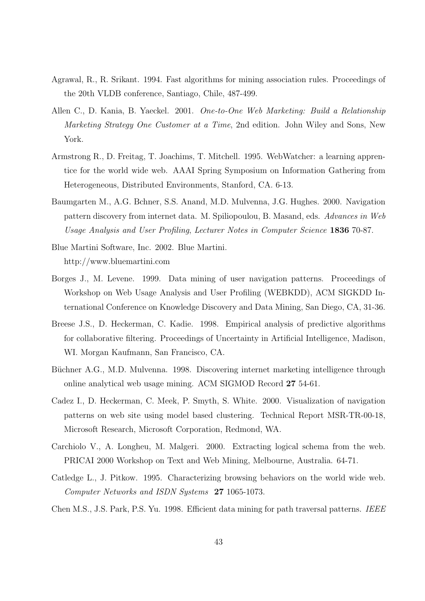- Agrawal, R., R. Srikant. 1994. Fast algorithms for mining association rules. Proceedings of the 20th VLDB conference, Santiago, Chile, 487-499.
- Allen C., D. Kania, B. Yaeckel. 2001. One-to-One Web Marketing: Build a Relationship Marketing Strategy One Customer at a Time, 2nd edition. John Wiley and Sons, New York.
- Armstrong R., D. Freitag, T. Joachims, T. Mitchell. 1995. WebWatcher: a learning apprentice for the world wide web. AAAI Spring Symposium on Information Gathering from Heterogeneous, Distributed Environments, Stanford, CA. 6-13.
- Baumgarten M., A.G. Bchner, S.S. Anand, M.D. Mulvenna, J.G. Hughes. 2000. Navigation pattern discovery from internet data. M. Spiliopoulou, B. Masand, eds. Advances in Web Usage Analysis and User Profiling, Lecturer Notes in Computer Science 1836 70-87.
- Blue Martini Software, Inc. 2002. Blue Martini. http://www.bluemartini.com
- Borges J., M. Levene. 1999. Data mining of user navigation patterns. Proceedings of Workshop on Web Usage Analysis and User Profiling (WEBKDD), ACM SIGKDD International Conference on Knowledge Discovery and Data Mining, San Diego, CA, 31-36.
- Breese J.S., D. Heckerman, C. Kadie. 1998. Empirical analysis of predictive algorithms for collaborative filtering. Proceedings of Uncertainty in Artificial Intelligence, Madison, WI. Morgan Kaufmann, San Francisco, CA.
- Büchner A.G., M.D. Mulvenna. 1998. Discovering internet marketing intelligence through online analytical web usage mining. ACM SIGMOD Record 27 54-61.
- Cadez I., D. Heckerman, C. Meek, P. Smyth, S. White. 2000. Visualization of navigation patterns on web site using model based clustering. Technical Report MSR-TR-00-18, Microsoft Research, Microsoft Corporation, Redmond, WA.
- Carchiolo V., A. Longheu, M. Malgeri. 2000. Extracting logical schema from the web. PRICAI 2000 Workshop on Text and Web Mining, Melbourne, Australia. 64-71.
- Catledge L., J. Pitkow. 1995. Characterizing browsing behaviors on the world wide web. Computer Networks and ISDN Systems 27 1065-1073.
- Chen M.S., J.S. Park, P.S. Yu. 1998. Efficient data mining for path traversal patterns. IEEE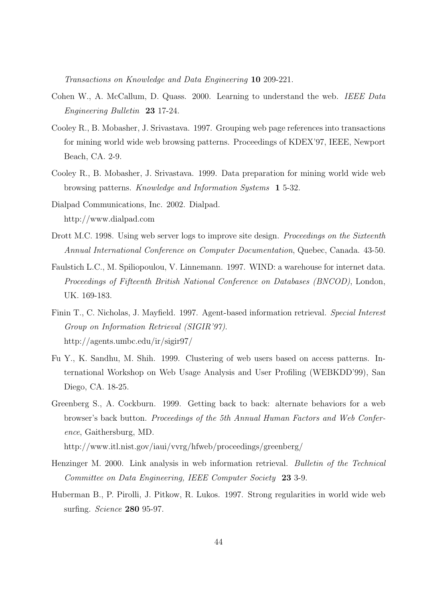Transactions on Knowledge and Data Engineering 10 209-221.

- Cohen W., A. McCallum, D. Quass. 2000. Learning to understand the web. IEEE Data Engineering Bulletin 23 17-24.
- Cooley R., B. Mobasher, J. Srivastava. 1997. Grouping web page references into transactions for mining world wide web browsing patterns. Proceedings of KDEX'97, IEEE, Newport Beach, CA. 2-9.
- Cooley R., B. Mobasher, J. Srivastava. 1999. Data preparation for mining world wide web browsing patterns. Knowledge and Information Systems 1 5-32.
- Dialpad Communications, Inc. 2002. Dialpad. http://www.dialpad.com
- Drott M.C. 1998. Using web server logs to improve site design. Proceedings on the Sixteenth Annual International Conference on Computer Documentation, Quebec, Canada. 43-50.
- Faulstich L.C., M. Spiliopoulou, V. Linnemann. 1997. WIND: a warehouse for internet data. Proceedings of Fifteenth British National Conference on Databases (BNCOD), London, UK. 169-183.
- Finin T., C. Nicholas, J. Mayfield. 1997. Agent-based information retrieval. Special Interest Group on Information Retrieval (SIGIR'97). http://agents.umbc.edu/ir/sigir97/
- Fu Y., K. Sandhu, M. Shih. 1999. Clustering of web users based on access patterns. International Workshop on Web Usage Analysis and User Profiling (WEBKDD'99), San Diego, CA. 18-25.
- Greenberg S., A. Cockburn. 1999. Getting back to back: alternate behaviors for a web browser's back button. Proceedings of the 5th Annual Human Factors and Web Conference, Gaithersburg, MD.

http://www.itl.nist.gov/iaui/vvrg/hfweb/proceedings/greenberg/

- Henzinger M. 2000. Link analysis in web information retrieval. Bulletin of the Technical Committee on Data Engineering, IEEE Computer Society 23 3-9.
- Huberman B., P. Pirolli, J. Pitkow, R. Lukos. 1997. Strong regularities in world wide web surfing. *Science* **280** 95-97.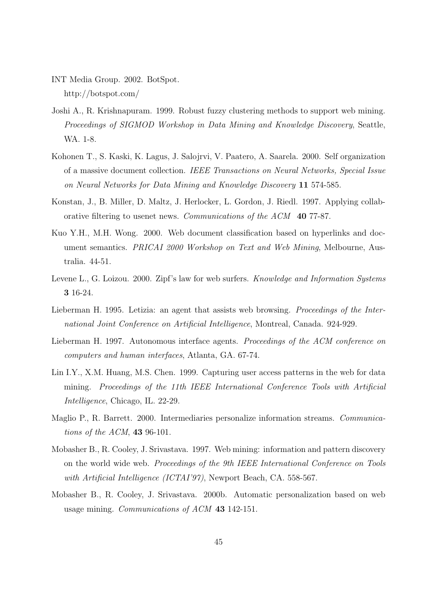INT Media Group. 2002. BotSpot. http://botspot.com/

- Joshi A., R. Krishnapuram. 1999. Robust fuzzy clustering methods to support web mining. Proceedings of SIGMOD Workshop in Data Mining and Knowledge Discovery, Seattle, WA. 1-8.
- Kohonen T., S. Kaski, K. Lagus, J. Salojrvi, V. Paatero, A. Saarela. 2000. Self organization of a massive document collection. IEEE Transactions on Neural Networks, Special Issue on Neural Networks for Data Mining and Knowledge Discovery 11 574-585.
- Konstan, J., B. Miller, D. Maltz, J. Herlocker, L. Gordon, J. Riedl. 1997. Applying collaborative filtering to usenet news. Communications of the ACM 40 77-87.
- Kuo Y.H., M.H. Wong. 2000. Web document classification based on hyperlinks and document semantics. PRICAI 2000 Workshop on Text and Web Mining, Melbourne, Australia. 44-51.
- Levene L., G. Loizou. 2000. Zipf's law for web surfers. Knowledge and Information Systems 3 16-24.
- Lieberman H. 1995. Letizia: an agent that assists web browsing. *Proceedings of the Inter*national Joint Conference on Artificial Intelligence, Montreal, Canada. 924-929.
- Lieberman H. 1997. Autonomous interface agents. Proceedings of the ACM conference on computers and human interfaces, Atlanta, GA. 67-74.
- Lin I.Y., X.M. Huang, M.S. Chen. 1999. Capturing user access patterns in the web for data mining. Proceedings of the 11th IEEE International Conference Tools with Artificial Intelligence, Chicago, IL. 22-29.
- Maglio P., R. Barrett. 2000. Intermediaries personalize information streams. Communications of the ACM, 43 96-101.
- Mobasher B., R. Cooley, J. Srivastava. 1997. Web mining: information and pattern discovery on the world wide web. Proceedings of the 9th IEEE International Conference on Tools with Artificial Intelligence (ICTAI'97), Newport Beach, CA. 558-567.
- Mobasher B., R. Cooley, J. Srivastava. 2000b. Automatic personalization based on web usage mining. Communications of ACM 43 142-151.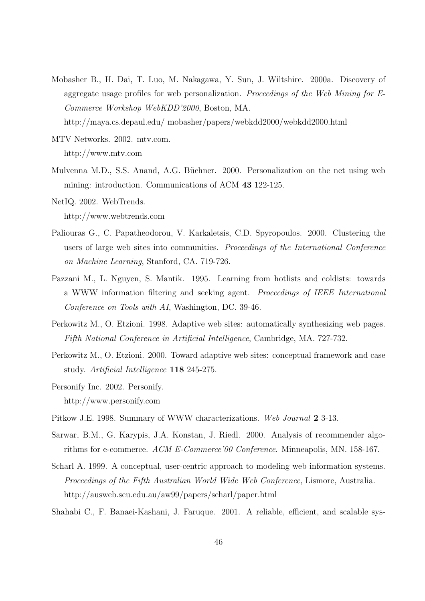Mobasher B., H. Dai, T. Luo, M. Nakagawa, Y. Sun, J. Wiltshire. 2000a. Discovery of aggregate usage profiles for web personalization. Proceedings of the Web Mining for E-Commerce Workshop WebKDD'2000, Boston, MA.

http://maya.cs.depaul.edu/ mobasher/papers/webkdd2000/webkdd2000.html

- MTV Networks. 2002. mtv.com. http://www.mtv.com
- Mulvenna M.D., S.S. Anand, A.G. Büchner. 2000. Personalization on the net using web mining: introduction. Communications of ACM 43 122-125.
- NetIQ. 2002. WebTrends. http://www.webtrends.com
- Paliouras G., C. Papatheodorou, V. Karkaletsis, C.D. Spyropoulos. 2000. Clustering the users of large web sites into communities. Proceedings of the International Conference on Machine Learning, Stanford, CA. 719-726.
- Pazzani M., L. Nguyen, S. Mantik. 1995. Learning from hotlists and coldists: towards a WWW information filtering and seeking agent. Proceedings of IEEE International Conference on Tools with AI, Washington, DC. 39-46.
- Perkowitz M., O. Etzioni. 1998. Adaptive web sites: automatically synthesizing web pages. Fifth National Conference in Artificial Intelligence, Cambridge, MA. 727-732.
- Perkowitz M., O. Etzioni. 2000. Toward adaptive web sites: conceptual framework and case study. Artificial Intelligence 118 245-275.
- Personify Inc. 2002. Personify. http://www.personify.com
- Pitkow J.E. 1998. Summary of WWW characterizations. Web Journal 2 3-13.
- Sarwar, B.M., G. Karypis, J.A. Konstan, J. Riedl. 2000. Analysis of recommender algorithms for e-commerce. ACM E-Commerce'00 Conference. Minneapolis, MN. 158-167.
- Scharl A. 1999. A conceptual, user-centric approach to modeling web information systems. Proceedings of the Fifth Australian World Wide Web Conference, Lismore, Australia. http://ausweb.scu.edu.au/aw99/papers/scharl/paper.html
- Shahabi C., F. Banaei-Kashani, J. Faruque. 2001. A reliable, efficient, and scalable sys-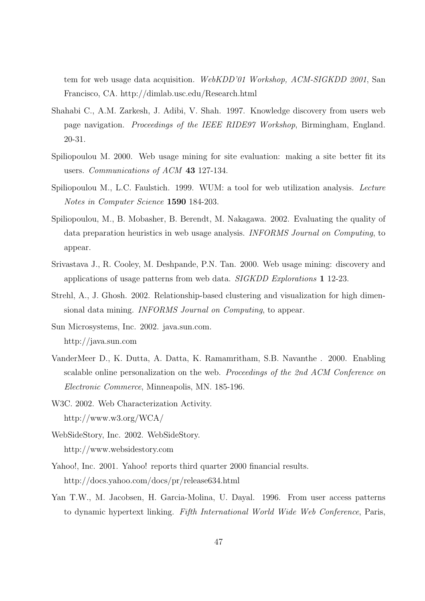tem for web usage data acquisition. WebKDD'01 Workshop, ACM-SIGKDD 2001, San Francisco, CA. http://dimlab.usc.edu/Research.html

- Shahabi C., A.M. Zarkesh, J. Adibi, V. Shah. 1997. Knowledge discovery from users web page navigation. Proceedings of the IEEE RIDE97 Workshop, Birmingham, England. 20-31.
- Spiliopoulou M. 2000. Web usage mining for site evaluation: making a site better fit its users. Communications of ACM 43 127-134.
- Spiliopoulou M., L.C. Faulstich. 1999. WUM: a tool for web utilization analysis. Lecture Notes in Computer Science 1590 184-203.
- Spiliopoulou, M., B. Mobasher, B. Berendt, M. Nakagawa. 2002. Evaluating the quality of data preparation heuristics in web usage analysis. INFORMS Journal on Computing, to appear.
- Srivastava J., R. Cooley, M. Deshpande, P.N. Tan. 2000. Web usage mining: discovery and applications of usage patterns from web data. SIGKDD Explorations 1 12-23.
- Strehl, A., J. Ghosh. 2002. Relationship-based clustering and visualization for high dimensional data mining. INFORMS Journal on Computing, to appear.
- Sun Microsystems, Inc. 2002. java.sun.com. http://java.sun.com
- VanderMeer D., K. Dutta, A. Datta, K. Ramamritham, S.B. Navanthe . 2000. Enabling scalable online personalization on the web. Proceedings of the 2nd ACM Conference on Electronic Commerce, Minneapolis, MN. 185-196.
- W3C. 2002. Web Characterization Activity. http://www.w3.org/WCA/
- WebSideStory, Inc. 2002. WebSideStory. http://www.websidestory.com
- Yahoo!, Inc. 2001. Yahoo! reports third quarter 2000 financial results. http://docs.yahoo.com/docs/pr/release634.html
- Yan T.W., M. Jacobsen, H. Garcia-Molina, U. Dayal. 1996. From user access patterns to dynamic hypertext linking. Fifth International World Wide Web Conference, Paris,